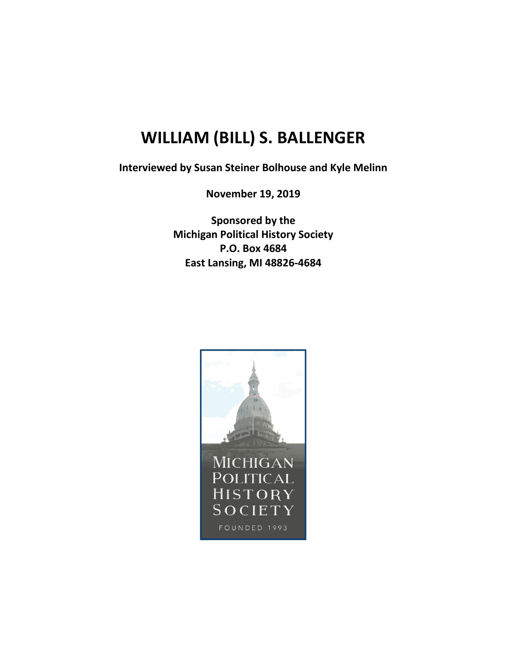## **WILLIAM (BILL) S. BALLENGER**

**Interviewed by Susan Steiner Bolhouse and Kyle Melinn**

**November 19, 2019**

**Sponsored by the Michigan Political History Society P.O. Box 4684 East Lansing, MI 48826-4684**

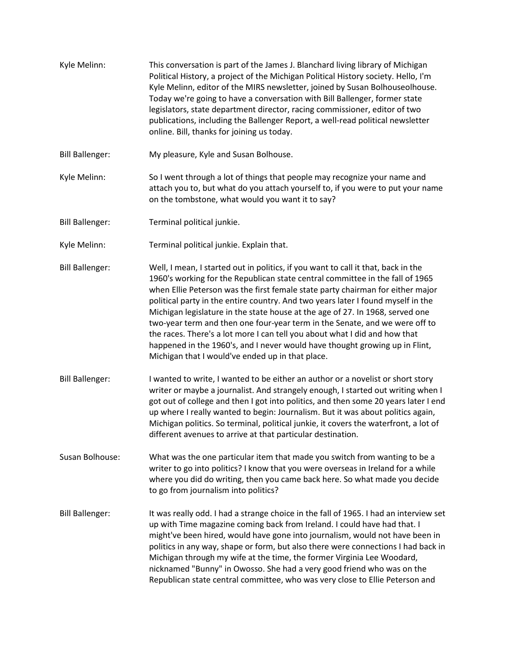Kyle Melinn: This conversation is part of the James J. Blanchard living library of Michigan Political History, a project of the Michigan Political History society. Hello, I'm Kyle Melinn, editor of the MIRS newsletter, joined by Susan Bolhouseolhouse. Today we're going to have a conversation with Bill Ballenger, former state legislators, state department director, racing commissioner, editor of two publications, including the Ballenger Report, a well-read political newsletter online. Bill, thanks for joining us today. Bill Ballenger: My pleasure, Kyle and Susan Bolhouse. Kyle Melinn: So I went through a lot of things that people may recognize your name and attach you to, but what do you attach yourself to, if you were to put your name on the tombstone, what would you want it to say? Bill Ballenger: Terminal political junkie. Kyle Melinn: Terminal political junkie. Explain that. Bill Ballenger: Well, I mean, I started out in politics, if you want to call it that, back in the 1960's working for the Republican state central committee in the fall of 1965 when Ellie Peterson was the first female state party chairman for either major political party in the entire country. And two years later I found myself in the Michigan legislature in the state house at the age of 27. In 1968, served one two-year term and then one four-year term in the Senate, and we were off to the races. There's a lot more I can tell you about what I did and how that happened in the 1960's, and I never would have thought growing up in Flint, Michigan that I would've ended up in that place. Bill Ballenger: I wanted to write, I wanted to be either an author or a novelist or short story writer or maybe a journalist. And strangely enough, I started out writing when I got out of college and then I got into politics, and then some 20 years later I end up where I really wanted to begin: Journalism. But it was about politics again, Michigan politics. So terminal, political junkie, it covers the waterfront, a lot of different avenues to arrive at that particular destination. Susan Bolhouse: What was the one particular item that made you switch from wanting to be a writer to go into politics? I know that you were overseas in Ireland for a while where you did do writing, then you came back here. So what made you decide to go from journalism into politics? Bill Ballenger: It was really odd. I had a strange choice in the fall of 1965. I had an interview set up with Time magazine coming back from Ireland. I could have had that. I might've been hired, would have gone into journalism, would not have been in politics in any way, shape or form, but also there were connections I had back in Michigan through my wife at the time, the former Virginia Lee Woodard, nicknamed "Bunny" in Owosso. She had a very good friend who was on the Republican state central committee, who was very close to Ellie Peterson and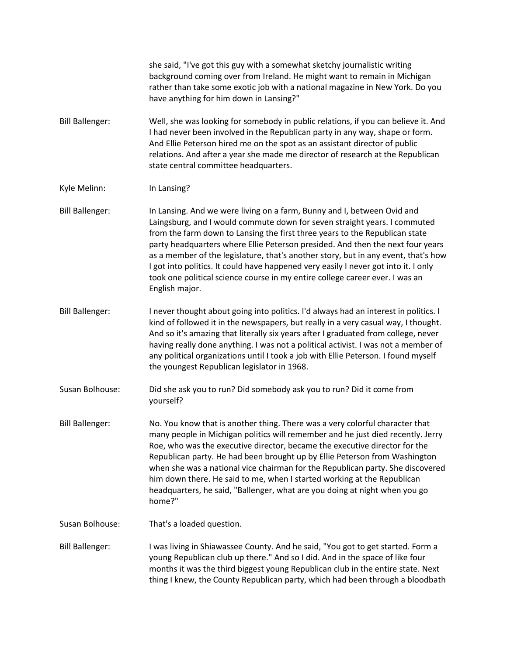she said, "I've got this guy with a somewhat sketchy journalistic writing background coming over from Ireland. He might want to remain in Michigan rather than take some exotic job with a national magazine in New York. Do you have anything for him down in Lansing?" Bill Ballenger: Well, she was looking for somebody in public relations, if you can believe it. And I had never been involved in the Republican party in any way, shape or form. And Ellie Peterson hired me on the spot as an assistant director of public relations. And after a year she made me director of research at the Republican state central committee headquarters. Kyle Melinn: In Lansing? Bill Ballenger: In Lansing. And we were living on a farm, Bunny and I, between Ovid and Laingsburg, and I would commute down for seven straight years. I commuted from the farm down to Lansing the first three years to the Republican state party headquarters where Ellie Peterson presided. And then the next four years as a member of the legislature, that's another story, but in any event, that's how I got into politics. It could have happened very easily I never got into it. I only took one political science course in my entire college career ever. I was an English major. Bill Ballenger: Inever thought about going into politics. I'd always had an interest in politics. I kind of followed it in the newspapers, but really in a very casual way, I thought. And so it's amazing that literally six years after I graduated from college, never having really done anything. I was not a political activist. I was not a member of any political organizations until I took a job with Ellie Peterson. I found myself the youngest Republican legislator in 1968. Susan Bolhouse: Did she ask you to run? Did somebody ask you to run? Did it come from yourself? Bill Ballenger: No. You know that is another thing. There was a very colorful character that many people in Michigan politics will remember and he just died recently. Jerry Roe, who was the executive director, became the executive director for the Republican party. He had been brought up by Ellie Peterson from Washington when she was a national vice chairman for the Republican party. She discovered him down there. He said to me, when I started working at the Republican headquarters, he said, "Ballenger, what are you doing at night when you go home?" Susan Bolhouse: That's a loaded question. Bill Ballenger: I was living in Shiawassee County. And he said, "You got to get started. Form a young Republican club up there." And so I did. And in the space of like four months it was the third biggest young Republican club in the entire state. Next thing I knew, the County Republican party, which had been through a bloodbath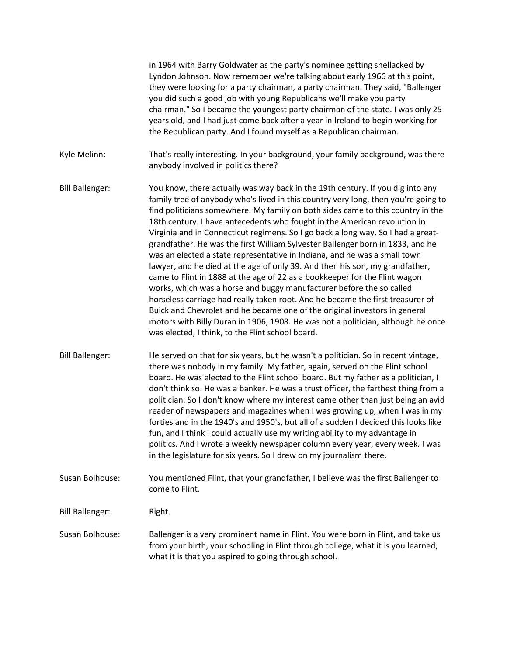|                        | in 1964 with Barry Goldwater as the party's nominee getting shellacked by<br>Lyndon Johnson. Now remember we're talking about early 1966 at this point,<br>they were looking for a party chairman, a party chairman. They said, "Ballenger<br>you did such a good job with young Republicans we'll make you party<br>chairman." So I became the youngest party chairman of the state. I was only 25<br>years old, and I had just come back after a year in Ireland to begin working for<br>the Republican party. And I found myself as a Republican chairman.                                                                                                                                                                                                                                                                                                                                                                                                                                                                                                                                                                         |
|------------------------|---------------------------------------------------------------------------------------------------------------------------------------------------------------------------------------------------------------------------------------------------------------------------------------------------------------------------------------------------------------------------------------------------------------------------------------------------------------------------------------------------------------------------------------------------------------------------------------------------------------------------------------------------------------------------------------------------------------------------------------------------------------------------------------------------------------------------------------------------------------------------------------------------------------------------------------------------------------------------------------------------------------------------------------------------------------------------------------------------------------------------------------|
| Kyle Melinn:           | That's really interesting. In your background, your family background, was there<br>anybody involved in politics there?                                                                                                                                                                                                                                                                                                                                                                                                                                                                                                                                                                                                                                                                                                                                                                                                                                                                                                                                                                                                               |
| <b>Bill Ballenger:</b> | You know, there actually was way back in the 19th century. If you dig into any<br>family tree of anybody who's lived in this country very long, then you're going to<br>find politicians somewhere. My family on both sides came to this country in the<br>18th century. I have antecedents who fought in the American revolution in<br>Virginia and in Connecticut regimens. So I go back a long way. So I had a great-<br>grandfather. He was the first William Sylvester Ballenger born in 1833, and he<br>was an elected a state representative in Indiana, and he was a small town<br>lawyer, and he died at the age of only 39. And then his son, my grandfather,<br>came to Flint in 1888 at the age of 22 as a bookkeeper for the Flint wagon<br>works, which was a horse and buggy manufacturer before the so called<br>horseless carriage had really taken root. And he became the first treasurer of<br>Buick and Chevrolet and he became one of the original investors in general<br>motors with Billy Duran in 1906, 1908. He was not a politician, although he once<br>was elected, I think, to the Flint school board. |
| <b>Bill Ballenger:</b> | He served on that for six years, but he wasn't a politician. So in recent vintage,<br>there was nobody in my family. My father, again, served on the Flint school<br>board. He was elected to the Flint school board. But my father as a politician, I<br>don't think so. He was a banker. He was a trust officer, the farthest thing from a<br>politician. So I don't know where my interest came other than just being an avid<br>reader of newspapers and magazines when I was growing up, when I was in my<br>forties and in the 1940's and 1950's, but all of a sudden I decided this looks like<br>fun, and I think I could actually use my writing ability to my advantage in<br>politics. And I wrote a weekly newspaper column every year, every week. I was<br>in the legislature for six years. So I drew on my journalism there.                                                                                                                                                                                                                                                                                          |
| Susan Bolhouse:        | You mentioned Flint, that your grandfather, I believe was the first Ballenger to<br>come to Flint.                                                                                                                                                                                                                                                                                                                                                                                                                                                                                                                                                                                                                                                                                                                                                                                                                                                                                                                                                                                                                                    |
| <b>Bill Ballenger:</b> | Right.                                                                                                                                                                                                                                                                                                                                                                                                                                                                                                                                                                                                                                                                                                                                                                                                                                                                                                                                                                                                                                                                                                                                |
| Susan Bolhouse:        | Ballenger is a very prominent name in Flint. You were born in Flint, and take us<br>from your birth, your schooling in Flint through college, what it is you learned,<br>what it is that you aspired to going through school.                                                                                                                                                                                                                                                                                                                                                                                                                                                                                                                                                                                                                                                                                                                                                                                                                                                                                                         |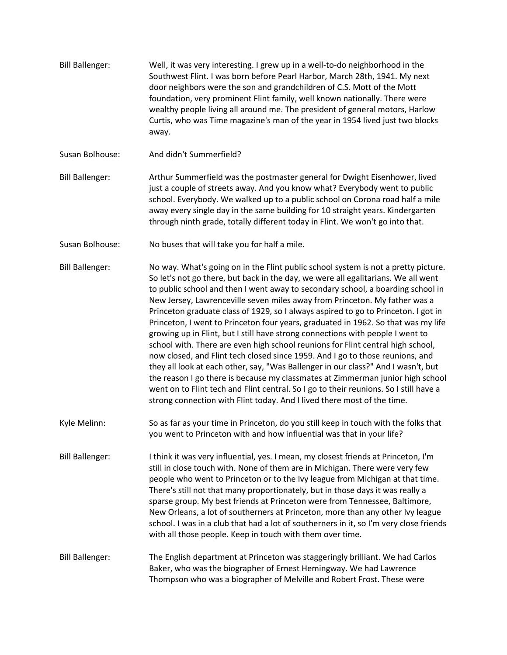- Bill Ballenger: Well, it was very interesting. I grew up in a well-to-do neighborhood in the Southwest Flint. I was born before Pearl Harbor, March 28th, 1941. My next door neighbors were the son and grandchildren of C.S. Mott of the Mott foundation, very prominent Flint family, well known nationally. There were wealthy people living all around me. The president of general motors, Harlow Curtis, who was Time magazine's man of the year in 1954 lived just two blocks away.
- Susan Bolhouse: And didn't Summerfield?
- Bill Ballenger: Arthur Summerfield was the postmaster general for Dwight Eisenhower, lived just a couple of streets away. And you know what? Everybody went to public school. Everybody. We walked up to a public school on Corona road half a mile away every single day in the same building for 10 straight years. Kindergarten through ninth grade, totally different today in Flint. We won't go into that.
- Susan Bolhouse: No buses that will take you for half a mile.
- Bill Ballenger: No way. What's going on in the Flint public school system is not a pretty picture. So let's not go there, but back in the day, we were all egalitarians. We all went to public school and then I went away to secondary school, a boarding school in New Jersey, Lawrenceville seven miles away from Princeton. My father was a Princeton graduate class of 1929, so I always aspired to go to Princeton. I got in Princeton, I went to Princeton four years, graduated in 1962. So that was my life growing up in Flint, but I still have strong connections with people I went to school with. There are even high school reunions for Flint central high school, now closed, and Flint tech closed since 1959. And I go to those reunions, and they all look at each other, say, "Was Ballenger in our class?" And I wasn't, but the reason I go there is because my classmates at Zimmerman junior high school went on to Flint tech and Flint central. So I go to their reunions. So I still have a strong connection with Flint today. And I lived there most of the time.
- Kyle Melinn: So as far as your time in Princeton, do you still keep in touch with the folks that you went to Princeton with and how influential was that in your life?
- Bill Ballenger: I think it was very influential, yes. I mean, my closest friends at Princeton, I'm still in close touch with. None of them are in Michigan. There were very few people who went to Princeton or to the Ivy league from Michigan at that time. There's still not that many proportionately, but in those days it was really a sparse group. My best friends at Princeton were from Tennessee, Baltimore, New Orleans, a lot of southerners at Princeton, more than any other Ivy league school. I was in a club that had a lot of southerners in it, so I'm very close friends with all those people. Keep in touch with them over time.
- Bill Ballenger: The English department at Princeton was staggeringly brilliant. We had Carlos Baker, who was the biographer of Ernest Hemingway. We had Lawrence Thompson who was a biographer of Melville and Robert Frost. These were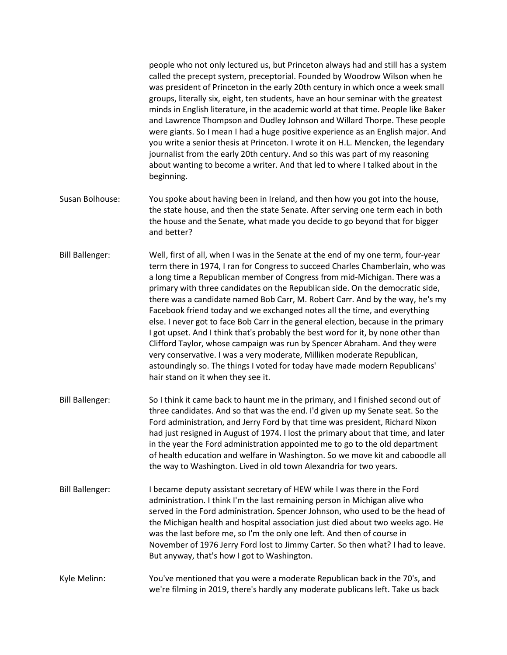people who not only lectured us, but Princeton always had and still has a system called the precept system, preceptorial. Founded by Woodrow Wilson when he was president of Princeton in the early 20th century in which once a week small groups, literally six, eight, ten students, have an hour seminar with the greatest minds in English literature, in the academic world at that time. People like Baker and Lawrence Thompson and Dudley Johnson and Willard Thorpe. These people were giants. So I mean I had a huge positive experience as an English major. And you write a senior thesis at Princeton. I wrote it on H.L. Mencken, the legendary journalist from the early 20th century. And so this was part of my reasoning about wanting to become a writer. And that led to where I talked about in the beginning.

- Susan Bolhouse: You spoke about having been in Ireland, and then how you got into the house, the state house, and then the state Senate. After serving one term each in both the house and the Senate, what made you decide to go beyond that for bigger and better?
- Bill Ballenger: Well, first of all, when I was in the Senate at the end of my one term, four-year term there in 1974, I ran for Congress to succeed Charles Chamberlain, who was a long time a Republican member of Congress from mid-Michigan. There was a primary with three candidates on the Republican side. On the democratic side, there was a candidate named Bob Carr, M. Robert Carr. And by the way, he's my Facebook friend today and we exchanged notes all the time, and everything else. I never got to face Bob Carr in the general election, because in the primary I got upset. And I think that's probably the best word for it, by none other than Clifford Taylor, whose campaign was run by Spencer Abraham. And they were very conservative. I was a very moderate, Milliken moderate Republican, astoundingly so. The things I voted for today have made modern Republicans' hair stand on it when they see it.
- Bill Ballenger: So I think it came back to haunt me in the primary, and I finished second out of three candidates. And so that was the end. I'd given up my Senate seat. So the Ford administration, and Jerry Ford by that time was president, Richard Nixon had just resigned in August of 1974. I lost the primary about that time, and later in the year the Ford administration appointed me to go to the old department of health education and welfare in Washington. So we move kit and caboodle all the way to Washington. Lived in old town Alexandria for two years.
- Bill Ballenger: I became deputy assistant secretary of HEW while I was there in the Ford administration. I think I'm the last remaining person in Michigan alive who served in the Ford administration. Spencer Johnson, who used to be the head of the Michigan health and hospital association just died about two weeks ago. He was the last before me, so I'm the only one left. And then of course in November of 1976 Jerry Ford lost to Jimmy Carter. So then what? I had to leave. But anyway, that's how I got to Washington.
- Kyle Melinn: You've mentioned that you were a moderate Republican back in the 70's, and we're filming in 2019, there's hardly any moderate publicans left. Take us back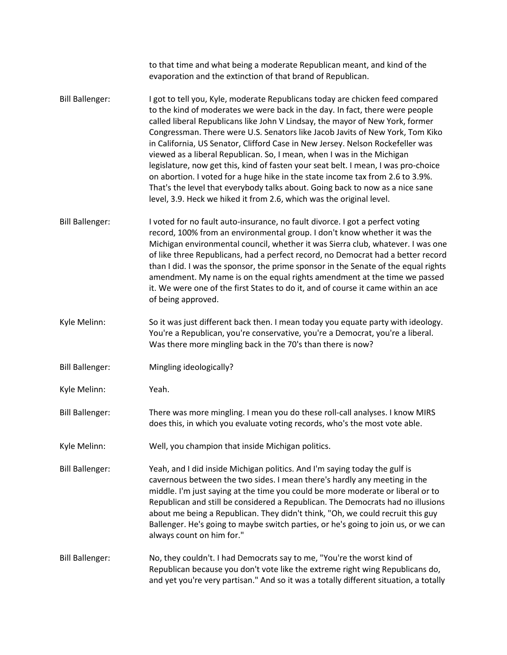|                        | to that time and what being a moderate Republican meant, and kind of the<br>evaporation and the extinction of that brand of Republican.                                                                                                                                                                                                                                                                                                                                                                                                                                                                                                                                                                                                                                                                                      |
|------------------------|------------------------------------------------------------------------------------------------------------------------------------------------------------------------------------------------------------------------------------------------------------------------------------------------------------------------------------------------------------------------------------------------------------------------------------------------------------------------------------------------------------------------------------------------------------------------------------------------------------------------------------------------------------------------------------------------------------------------------------------------------------------------------------------------------------------------------|
| <b>Bill Ballenger:</b> | I got to tell you, Kyle, moderate Republicans today are chicken feed compared<br>to the kind of moderates we were back in the day. In fact, there were people<br>called liberal Republicans like John V Lindsay, the mayor of New York, former<br>Congressman. There were U.S. Senators like Jacob Javits of New York, Tom Kiko<br>in California, US Senator, Clifford Case in New Jersey. Nelson Rockefeller was<br>viewed as a liberal Republican. So, I mean, when I was in the Michigan<br>legislature, now get this, kind of fasten your seat belt. I mean, I was pro-choice<br>on abortion. I voted for a huge hike in the state income tax from 2.6 to 3.9%.<br>That's the level that everybody talks about. Going back to now as a nice sane<br>level, 3.9. Heck we hiked it from 2.6, which was the original level. |
| <b>Bill Ballenger:</b> | I voted for no fault auto-insurance, no fault divorce. I got a perfect voting<br>record, 100% from an environmental group. I don't know whether it was the<br>Michigan environmental council, whether it was Sierra club, whatever. I was one<br>of like three Republicans, had a perfect record, no Democrat had a better record<br>than I did. I was the sponsor, the prime sponsor in the Senate of the equal rights<br>amendment. My name is on the equal rights amendment at the time we passed<br>it. We were one of the first States to do it, and of course it came within an ace<br>of being approved.                                                                                                                                                                                                              |
| Kyle Melinn:           | So it was just different back then. I mean today you equate party with ideology.<br>You're a Republican, you're conservative, you're a Democrat, you're a liberal.<br>Was there more mingling back in the 70's than there is now?                                                                                                                                                                                                                                                                                                                                                                                                                                                                                                                                                                                            |
| <b>Bill Ballenger:</b> | Mingling ideologically?                                                                                                                                                                                                                                                                                                                                                                                                                                                                                                                                                                                                                                                                                                                                                                                                      |
| Kyle Melinn:           | Yeah.                                                                                                                                                                                                                                                                                                                                                                                                                                                                                                                                                                                                                                                                                                                                                                                                                        |
| <b>Bill Ballenger:</b> | There was more mingling. I mean you do these roll-call analyses. I know MIRS<br>does this, in which you evaluate voting records, who's the most vote able.                                                                                                                                                                                                                                                                                                                                                                                                                                                                                                                                                                                                                                                                   |
| Kyle Melinn:           | Well, you champion that inside Michigan politics.                                                                                                                                                                                                                                                                                                                                                                                                                                                                                                                                                                                                                                                                                                                                                                            |
| <b>Bill Ballenger:</b> | Yeah, and I did inside Michigan politics. And I'm saying today the gulf is<br>cavernous between the two sides. I mean there's hardly any meeting in the<br>middle. I'm just saying at the time you could be more moderate or liberal or to<br>Republican and still be considered a Republican. The Democrats had no illusions<br>about me being a Republican. They didn't think, "Oh, we could recruit this guy<br>Ballenger. He's going to maybe switch parties, or he's going to join us, or we can<br>always count on him for."                                                                                                                                                                                                                                                                                           |
| <b>Bill Ballenger:</b> | No, they couldn't. I had Democrats say to me, "You're the worst kind of<br>Republican because you don't vote like the extreme right wing Republicans do,<br>and yet you're very partisan." And so it was a totally different situation, a totally                                                                                                                                                                                                                                                                                                                                                                                                                                                                                                                                                                            |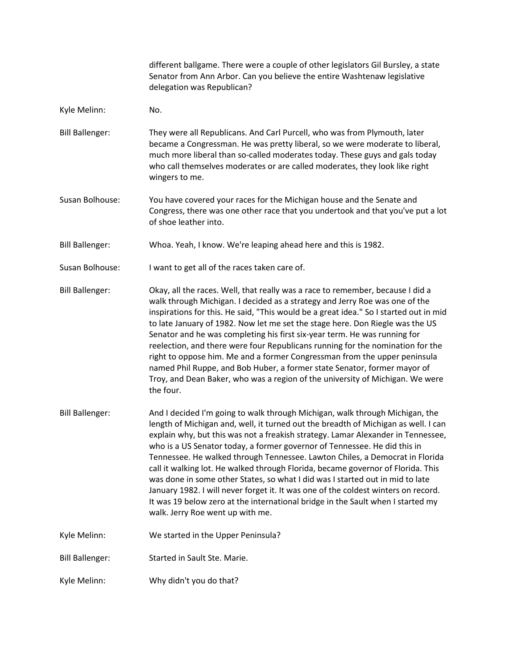different ballgame. There were a couple of other legislators Gil Bursley, a state Senator from Ann Arbor. Can you believe the entire Washtenaw legislative delegation was Republican?

- Kyle Melinn: No.
- Bill Ballenger: They were all Republicans. And Carl Purcell, who was from Plymouth, later became a Congressman. He was pretty liberal, so we were moderate to liberal, much more liberal than so-called moderates today. These guys and gals today who call themselves moderates or are called moderates, they look like right wingers to me.
- Susan Bolhouse: You have covered your races for the Michigan house and the Senate and Congress, there was one other race that you undertook and that you've put a lot of shoe leather into.
- Bill Ballenger: Whoa. Yeah, I know. We're leaping ahead here and this is 1982.
- Susan Bolhouse: I want to get all of the races taken care of.
- Bill Ballenger: Okay, all the races. Well, that really was a race to remember, because I did a walk through Michigan. I decided as a strategy and Jerry Roe was one of the inspirations for this. He said, "This would be a great idea." So I started out in mid to late January of 1982. Now let me set the stage here. Don Riegle was the US Senator and he was completing his first six-year term. He was running for reelection, and there were four Republicans running for the nomination for the right to oppose him. Me and a former Congressman from the upper peninsula named Phil Ruppe, and Bob Huber, a former state Senator, former mayor of Troy, and Dean Baker, who was a region of the university of Michigan. We were the four.
- Bill Ballenger: And I decided I'm going to walk through Michigan, walk through Michigan, the length of Michigan and, well, it turned out the breadth of Michigan as well. I can explain why, but this was not a freakish strategy. Lamar Alexander in Tennessee, who is a US Senator today, a former governor of Tennessee. He did this in Tennessee. He walked through Tennessee. Lawton Chiles, a Democrat in Florida call it walking lot. He walked through Florida, became governor of Florida. This was done in some other States, so what I did was I started out in mid to late January 1982. I will never forget it. It was one of the coldest winters on record. It was 19 below zero at the international bridge in the Sault when I started my walk. Jerry Roe went up with me.
- Kyle Melinn: We started in the Upper Peninsula?
- Bill Ballenger: Started in Sault Ste. Marie.
- Kyle Melinn: Why didn't you do that?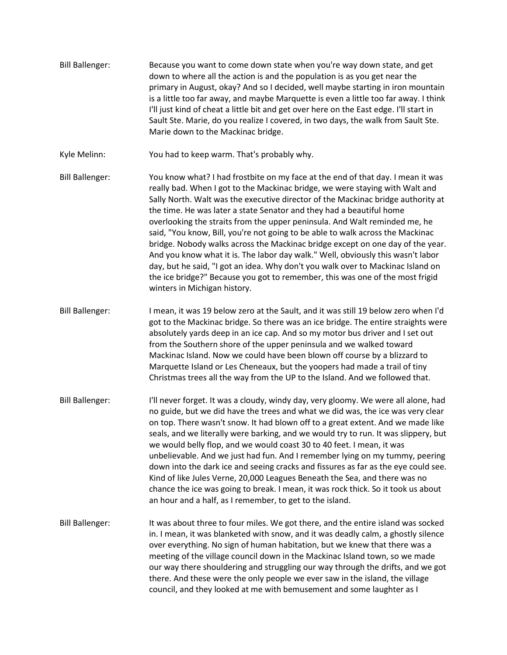- Bill Ballenger: Because you want to come down state when you're way down state, and get down to where all the action is and the population is as you get near the primary in August, okay? And so I decided, well maybe starting in iron mountain is a little too far away, and maybe Marquette is even a little too far away. I think I'll just kind of cheat a little bit and get over here on the East edge. I'll start in Sault Ste. Marie, do you realize I covered, in two days, the walk from Sault Ste. Marie down to the Mackinac bridge.
- Kyle Melinn: You had to keep warm. That's probably why.
- Bill Ballenger: You know what? I had frostbite on my face at the end of that day. I mean it was really bad. When I got to the Mackinac bridge, we were staying with Walt and Sally North. Walt was the executive director of the Mackinac bridge authority at the time. He was later a state Senator and they had a beautiful home overlooking the straits from the upper peninsula. And Walt reminded me, he said, "You know, Bill, you're not going to be able to walk across the Mackinac bridge. Nobody walks across the Mackinac bridge except on one day of the year. And you know what it is. The labor day walk." Well, obviously this wasn't labor day, but he said, "I got an idea. Why don't you walk over to Mackinac Island on the ice bridge?" Because you got to remember, this was one of the most frigid winters in Michigan history.
- Bill Ballenger: I mean, it was 19 below zero at the Sault, and it was still 19 below zero when I'd got to the Mackinac bridge. So there was an ice bridge. The entire straights were absolutely yards deep in an ice cap. And so my motor bus driver and I set out from the Southern shore of the upper peninsula and we walked toward Mackinac Island. Now we could have been blown off course by a blizzard to Marquette Island or Les Cheneaux, but the yoopers had made a trail of tiny Christmas trees all the way from the UP to the Island. And we followed that.
- Bill Ballenger: I'll never forget. It was a cloudy, windy day, very gloomy. We were all alone, had no guide, but we did have the trees and what we did was, the ice was very clear on top. There wasn't snow. It had blown off to a great extent. And we made like seals, and we literally were barking, and we would try to run. It was slippery, but we would belly flop, and we would coast 30 to 40 feet. I mean, it was unbelievable. And we just had fun. And I remember lying on my tummy, peering down into the dark ice and seeing cracks and fissures as far as the eye could see. Kind of like Jules Verne, 20,000 Leagues Beneath the Sea, and there was no chance the ice was going to break. I mean, it was rock thick. So it took us about an hour and a half, as I remember, to get to the island.
- Bill Ballenger: It was about three to four miles. We got there, and the entire island was socked in. I mean, it was blanketed with snow, and it was deadly calm, a ghostly silence over everything. No sign of human habitation, but we knew that there was a meeting of the village council down in the Mackinac Island town, so we made our way there shouldering and struggling our way through the drifts, and we got there. And these were the only people we ever saw in the island, the village council, and they looked at me with bemusement and some laughter as I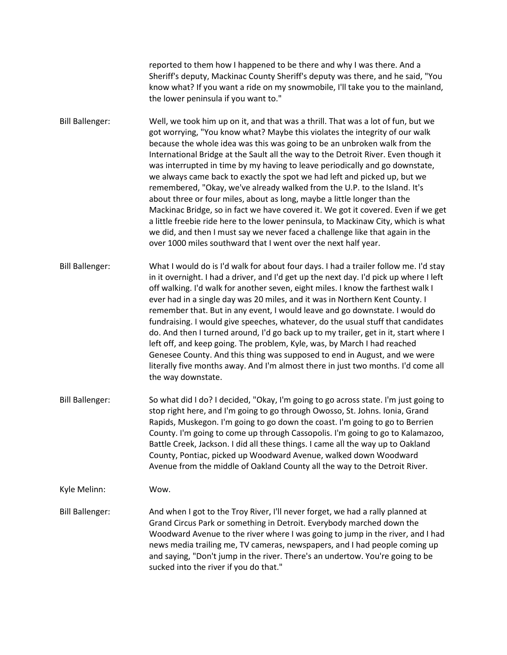reported to them how I happened to be there and why I was there. And a Sheriff's deputy, Mackinac County Sheriff's deputy was there, and he said, "You know what? If you want a ride on my snowmobile, I'll take you to the mainland, the lower peninsula if you want to."

Bill Ballenger: Well, we took him up on it, and that was a thrill. That was a lot of fun, but we got worrying, "You know what? Maybe this violates the integrity of our walk because the whole idea was this was going to be an unbroken walk from the International Bridge at the Sault all the way to the Detroit River. Even though it was interrupted in time by my having to leave periodically and go downstate, we always came back to exactly the spot we had left and picked up, but we remembered, "Okay, we've already walked from the U.P. to the Island. It's about three or four miles, about as long, maybe a little longer than the Mackinac Bridge, so in fact we have covered it. We got it covered. Even if we get a little freebie ride here to the lower peninsula, to Mackinaw City, which is what we did, and then I must say we never faced a challenge like that again in the over 1000 miles southward that I went over the next half year.

Bill Ballenger: What I would do is I'd walk for about four days. I had a trailer follow me. I'd stay in it overnight. I had a driver, and I'd get up the next day. I'd pick up where I left off walking. I'd walk for another seven, eight miles. I know the farthest walk I ever had in a single day was 20 miles, and it was in Northern Kent County. I remember that. But in any event, I would leave and go downstate. I would do fundraising. I would give speeches, whatever, do the usual stuff that candidates do. And then I turned around, I'd go back up to my trailer, get in it, start where I left off, and keep going. The problem, Kyle, was, by March I had reached Genesee County. And this thing was supposed to end in August, and we were literally five months away. And I'm almost there in just two months. I'd come all the way downstate.

Bill Ballenger: So what did I do? I decided, "Okay, I'm going to go across state. I'm just going to stop right here, and I'm going to go through Owosso, St. Johns. Ionia, Grand Rapids, Muskegon. I'm going to go down the coast. I'm going to go to Berrien County. I'm going to come up through Cassopolis. I'm going to go to Kalamazoo, Battle Creek, Jackson. I did all these things. I came all the way up to Oakland County, Pontiac, picked up Woodward Avenue, walked down Woodward Avenue from the middle of Oakland County all the way to the Detroit River.

Kyle Melinn: Wow.

Bill Ballenger: And when I got to the Troy River, I'll never forget, we had a rally planned at Grand Circus Park or something in Detroit. Everybody marched down the Woodward Avenue to the river where I was going to jump in the river, and I had news media trailing me, TV cameras, newspapers, and I had people coming up and saying, "Don't jump in the river. There's an undertow. You're going to be sucked into the river if you do that."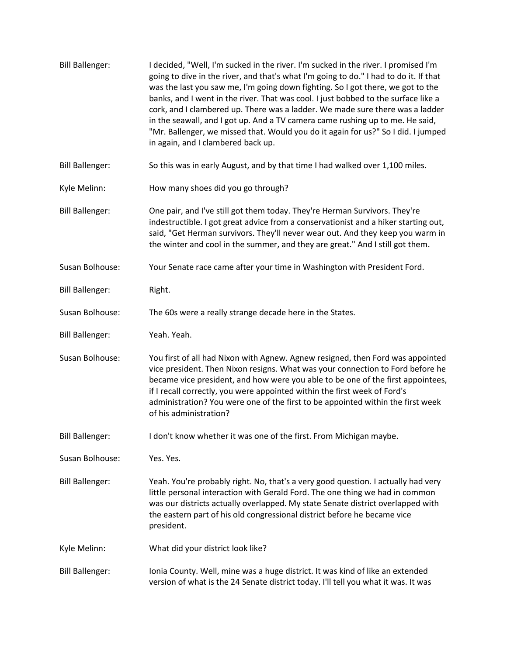| <b>Bill Ballenger:</b> | I decided, "Well, I'm sucked in the river. I'm sucked in the river. I promised I'm<br>going to dive in the river, and that's what I'm going to do." I had to do it. If that<br>was the last you saw me, I'm going down fighting. So I got there, we got to the<br>banks, and I went in the river. That was cool. I just bobbed to the surface like a<br>cork, and I clambered up. There was a ladder. We made sure there was a ladder<br>in the seawall, and I got up. And a TV camera came rushing up to me. He said,<br>"Mr. Ballenger, we missed that. Would you do it again for us?" So I did. I jumped<br>in again, and I clambered back up. |
|------------------------|---------------------------------------------------------------------------------------------------------------------------------------------------------------------------------------------------------------------------------------------------------------------------------------------------------------------------------------------------------------------------------------------------------------------------------------------------------------------------------------------------------------------------------------------------------------------------------------------------------------------------------------------------|
| <b>Bill Ballenger:</b> | So this was in early August, and by that time I had walked over 1,100 miles.                                                                                                                                                                                                                                                                                                                                                                                                                                                                                                                                                                      |
| Kyle Melinn:           | How many shoes did you go through?                                                                                                                                                                                                                                                                                                                                                                                                                                                                                                                                                                                                                |
| <b>Bill Ballenger:</b> | One pair, and I've still got them today. They're Herman Survivors. They're<br>indestructible. I got great advice from a conservationist and a hiker starting out,<br>said, "Get Herman survivors. They'll never wear out. And they keep you warm in<br>the winter and cool in the summer, and they are great." And I still got them.                                                                                                                                                                                                                                                                                                              |
| Susan Bolhouse:        | Your Senate race came after your time in Washington with President Ford.                                                                                                                                                                                                                                                                                                                                                                                                                                                                                                                                                                          |
| <b>Bill Ballenger:</b> | Right.                                                                                                                                                                                                                                                                                                                                                                                                                                                                                                                                                                                                                                            |
| Susan Bolhouse:        | The 60s were a really strange decade here in the States.                                                                                                                                                                                                                                                                                                                                                                                                                                                                                                                                                                                          |
| <b>Bill Ballenger:</b> | Yeah. Yeah.                                                                                                                                                                                                                                                                                                                                                                                                                                                                                                                                                                                                                                       |
| Susan Bolhouse:        | You first of all had Nixon with Agnew. Agnew resigned, then Ford was appointed<br>vice president. Then Nixon resigns. What was your connection to Ford before he<br>became vice president, and how were you able to be one of the first appointees,<br>if I recall correctly, you were appointed within the first week of Ford's<br>administration? You were one of the first to be appointed within the first week<br>of his administration?                                                                                                                                                                                                     |
| <b>Bill Ballenger:</b> | I don't know whether it was one of the first. From Michigan maybe.                                                                                                                                                                                                                                                                                                                                                                                                                                                                                                                                                                                |
| Susan Bolhouse:        | Yes. Yes.                                                                                                                                                                                                                                                                                                                                                                                                                                                                                                                                                                                                                                         |
| <b>Bill Ballenger:</b> | Yeah. You're probably right. No, that's a very good question. I actually had very<br>little personal interaction with Gerald Ford. The one thing we had in common<br>was our districts actually overlapped. My state Senate district overlapped with<br>the eastern part of his old congressional district before he became vice<br>president.                                                                                                                                                                                                                                                                                                    |
| Kyle Melinn:           | What did your district look like?                                                                                                                                                                                                                                                                                                                                                                                                                                                                                                                                                                                                                 |
| <b>Bill Ballenger:</b> | Ionia County. Well, mine was a huge district. It was kind of like an extended<br>version of what is the 24 Senate district today. I'll tell you what it was. It was                                                                                                                                                                                                                                                                                                                                                                                                                                                                               |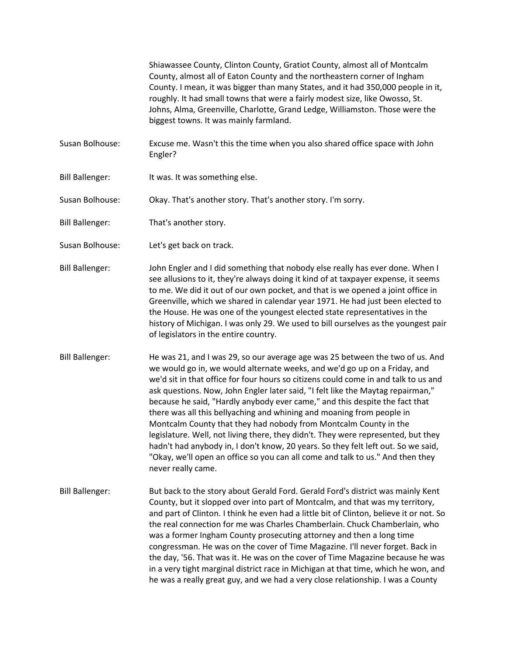Shiawassee County, Clinton County, Gratiot County, almost all of Montcalm County, almost all of Eaton County and the northeastern corner of Ingham County. I mean, it was bigger than many States, and it had 350,000 people in it, roughly. It had small towns that were a fairly modest size, like Owosso, St. Johns, Alma, Greenville, Charlotte, Grand Ledge, Williamston. Those were the biggest towns. It was mainly farmland.

- Susan Bolhouse: Excuse me. Wasn't this the time when you also shared office space with John Engler?
- Bill Ballenger: It was. It was something else.
- Susan Bolhouse: Okay. That's another story. That's another story. I'm sorry.
- Bill Ballenger: That's another story.
- Susan Bolhouse: Let's get back on track.
- Bill Ballenger: John Engler and I did something that nobody else really has ever done. When I see allusions to it, they're always doing it kind of at taxpayer expense, it seems to me. We did it out of our own pocket, and that is we opened a joint office in Greenville, which we shared in calendar year 1971. He had just been elected to the House. He was one of the youngest elected state representatives in the history of Michigan. I was only 29. We used to bill ourselves as the youngest pair of legislators in the entire country.
- Bill Ballenger: He was 21, and I was 29, so our average age was 25 between the two of us. And we would go in, we would alternate weeks, and we'd go up on a Friday, and we'd sit in that office for four hours so citizens could come in and talk to us and ask questions. Now, John Engler later said, "I felt like the Maytag repairman," because he said, "Hardly anybody ever came," and this despite the fact that there was all this bellyaching and whining and moaning from people in Montcalm County that they had nobody from Montcalm County in the legislature. Well, not living there, they didn't. They were represented, but they hadn't had anybody in, I don't know, 20 years. So they felt left out. So we said, "Okay, we'll open an office so you can all come and talk to us." And then they never really came.
- Bill Ballenger: But back to the story about Gerald Ford. Gerald Ford's district was mainly Kent County, but it slopped over into part of Montcalm, and that was my territory, and part of Clinton. I think he even had a little bit of Clinton, believe it or not. So the real connection for me was Charles Chamberlain. Chuck Chamberlain, who was a former Ingham County prosecuting attorney and then a long time congressman. He was on the cover of Time Magazine. I'll never forget. Back in the day, '56. That was it. He was on the cover of Time Magazine because he was in a very tight marginal district race in Michigan at that time, which he won, and he was a really great guy, and we had a very close relationship. I was a County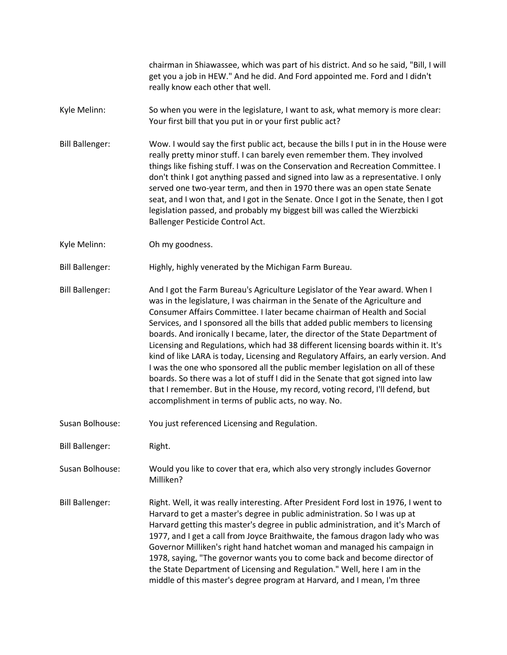chairman in Shiawassee, which was part of his district. And so he said, "Bill, I will get you a job in HEW." And he did. And Ford appointed me. Ford and I didn't really know each other that well.

- Kyle Melinn: So when you were in the legislature, I want to ask, what memory is more clear: Your first bill that you put in or your first public act?
- Bill Ballenger: Wow. I would say the first public act, because the bills I put in in the House were really pretty minor stuff. I can barely even remember them. They involved things like fishing stuff. I was on the Conservation and Recreation Committee. I don't think I got anything passed and signed into law as a representative. I only served one two-year term, and then in 1970 there was an open state Senate seat, and I won that, and I got in the Senate. Once I got in the Senate, then I got legislation passed, and probably my biggest bill was called the Wierzbicki Ballenger Pesticide Control Act.
- Kyle Melinn: Oh my goodness.

Bill Ballenger: Highly, highly venerated by the Michigan Farm Bureau.

Bill Ballenger: And I got the Farm Bureau's Agriculture Legislator of the Year award. When I was in the legislature, I was chairman in the Senate of the Agriculture and Consumer Affairs Committee. I later became chairman of Health and Social Services, and I sponsored all the bills that added public members to licensing boards. And ironically I became, later, the director of the State Department of Licensing and Regulations, which had 38 different licensing boards within it. It's kind of like LARA is today, Licensing and Regulatory Affairs, an early version. And I was the one who sponsored all the public member legislation on all of these boards. So there was a lot of stuff I did in the Senate that got signed into law that I remember. But in the House, my record, voting record, I'll defend, but accomplishment in terms of public acts, no way. No.

- Susan Bolhouse: You just referenced Licensing and Regulation.
- Bill Ballenger: Right.
- Susan Bolhouse: Would you like to cover that era, which also very strongly includes Governor Milliken?
- Bill Ballenger: Right. Well, it was really interesting. After President Ford lost in 1976, I went to Harvard to get a master's degree in public administration. So I was up at Harvard getting this master's degree in public administration, and it's March of 1977, and I get a call from Joyce Braithwaite, the famous dragon lady who was Governor Milliken's right hand hatchet woman and managed his campaign in 1978, saying, "The governor wants you to come back and become director of the State Department of Licensing and Regulation." Well, here I am in the middle of this master's degree program at Harvard, and I mean, I'm three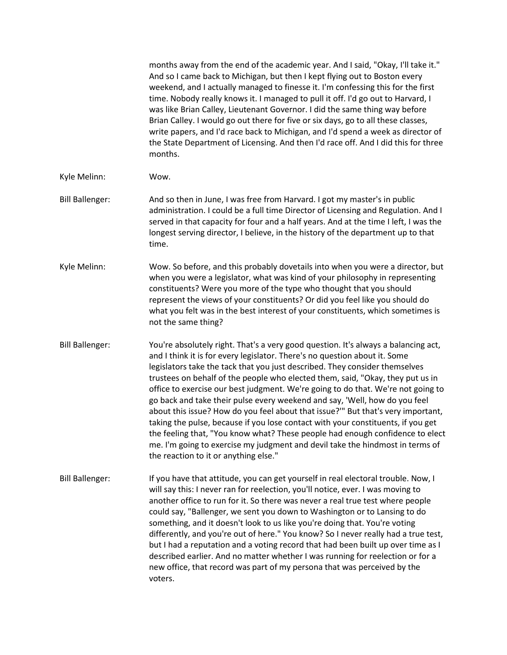|                        | months away from the end of the academic year. And I said, "Okay, I'll take it."<br>And so I came back to Michigan, but then I kept flying out to Boston every<br>weekend, and I actually managed to finesse it. I'm confessing this for the first<br>time. Nobody really knows it. I managed to pull it off. I'd go out to Harvard, I<br>was like Brian Calley, Lieutenant Governor. I did the same thing way before<br>Brian Calley. I would go out there for five or six days, go to all these classes,<br>write papers, and I'd race back to Michigan, and I'd spend a week as director of<br>the State Department of Licensing. And then I'd race off. And I did this for three<br>months.                                                                                                                                                                                        |
|------------------------|----------------------------------------------------------------------------------------------------------------------------------------------------------------------------------------------------------------------------------------------------------------------------------------------------------------------------------------------------------------------------------------------------------------------------------------------------------------------------------------------------------------------------------------------------------------------------------------------------------------------------------------------------------------------------------------------------------------------------------------------------------------------------------------------------------------------------------------------------------------------------------------|
| Kyle Melinn:           | Wow.                                                                                                                                                                                                                                                                                                                                                                                                                                                                                                                                                                                                                                                                                                                                                                                                                                                                                   |
| <b>Bill Ballenger:</b> | And so then in June, I was free from Harvard. I got my master's in public<br>administration. I could be a full time Director of Licensing and Regulation. And I<br>served in that capacity for four and a half years. And at the time I left, I was the<br>longest serving director, I believe, in the history of the department up to that<br>time.                                                                                                                                                                                                                                                                                                                                                                                                                                                                                                                                   |
| Kyle Melinn:           | Wow. So before, and this probably dovetails into when you were a director, but<br>when you were a legislator, what was kind of your philosophy in representing<br>constituents? Were you more of the type who thought that you should<br>represent the views of your constituents? Or did you feel like you should do<br>what you felt was in the best interest of your constituents, which sometimes is<br>not the same thing?                                                                                                                                                                                                                                                                                                                                                                                                                                                        |
| <b>Bill Ballenger:</b> | You're absolutely right. That's a very good question. It's always a balancing act,<br>and I think it is for every legislator. There's no question about it. Some<br>legislators take the tack that you just described. They consider themselves<br>trustees on behalf of the people who elected them, said, "Okay, they put us in<br>office to exercise our best judgment. We're going to do that. We're not going to<br>go back and take their pulse every weekend and say, 'Well, how do you feel<br>about this issue? How do you feel about that issue?"" But that's very important,<br>taking the pulse, because if you lose contact with your constituents, if you get<br>the feeling that, "You know what? These people had enough confidence to elect<br>me. I'm going to exercise my judgment and devil take the hindmost in terms of<br>the reaction to it or anything else." |
| <b>Bill Ballenger:</b> | If you have that attitude, you can get yourself in real electoral trouble. Now, I<br>will say this: I never ran for reelection, you'll notice, ever. I was moving to<br>another office to run for it. So there was never a real true test where people<br>could say, "Ballenger, we sent you down to Washington or to Lansing to do<br>something, and it doesn't look to us like you're doing that. You're voting<br>differently, and you're out of here." You know? So I never really had a true test,<br>but I had a reputation and a voting record that had been built up over time as I<br>described earlier. And no matter whether I was running for reelection or for a<br>new office, that record was part of my persona that was perceived by the<br>voters.                                                                                                                   |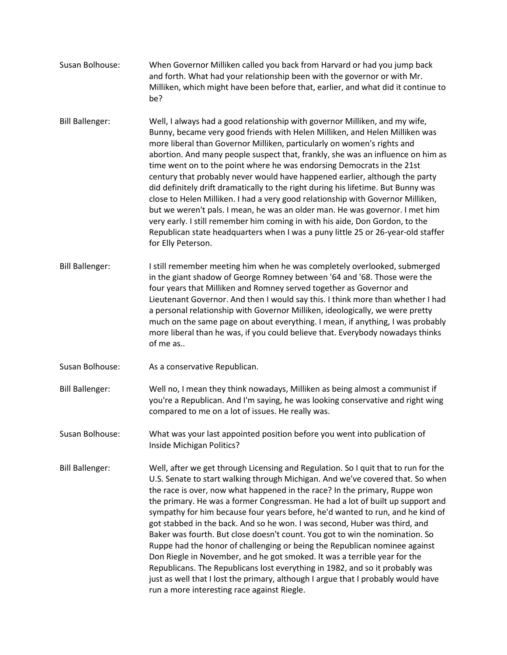- Susan Bolhouse: When Governor Milliken called you back from Harvard or had you jump back and forth. What had your relationship been with the governor or with Mr. Milliken, which might have been before that, earlier, and what did it continue to be?
- Bill Ballenger: Well, I always had a good relationship with governor Milliken, and my wife, Bunny, became very good friends with Helen Milliken, and Helen Milliken was more liberal than Governor Milliken, particularly on women's rights and abortion. And many people suspect that, frankly, she was an influence on him as time went on to the point where he was endorsing Democrats in the 21st century that probably never would have happened earlier, although the party did definitely drift dramatically to the right during his lifetime. But Bunny was close to Helen Milliken. I had a very good relationship with Governor Milliken, but we weren't pals. I mean, he was an older man. He was governor. I met him very early. I still remember him coming in with his aide, Don Gordon, to the Republican state headquarters when I was a puny little 25 or 26-year-old staffer for Elly Peterson.
- Bill Ballenger: I still remember meeting him when he was completely overlooked, submerged in the giant shadow of George Romney between '64 and '68. Those were the four years that Milliken and Romney served together as Governor and Lieutenant Governor. And then I would say this. I think more than whether I had a personal relationship with Governor Milliken, ideologically, we were pretty much on the same page on about everything. I mean, if anything, I was probably more liberal than he was, if you could believe that. Everybody nowadays thinks of me as..
- Susan Bolhouse: As a conservative Republican.
- Bill Ballenger: Well no, I mean they think nowadays, Milliken as being almost a communist if you're a Republican. And I'm saying, he was looking conservative and right wing compared to me on a lot of issues. He really was.
- Susan Bolhouse: What was your last appointed position before you went into publication of Inside Michigan Politics?
- Bill Ballenger: Well, after we get through Licensing and Regulation. So I quit that to run for the U.S. Senate to start walking through Michigan. And we've covered that. So when the race is over, now what happened in the race? In the primary, Ruppe won the primary. He was a former Congressman. He had a lot of built up support and sympathy for him because four years before, he'd wanted to run, and he kind of got stabbed in the back. And so he won. I was second, Huber was third, and Baker was fourth. But close doesn't count. You got to win the nomination. So Ruppe had the honor of challenging or being the Republican nominee against Don Riegle in November, and he got smoked. It was a terrible year for the Republicans. The Republicans lost everything in 1982, and so it probably was just as well that I lost the primary, although I argue that I probably would have run a more interesting race against Riegle.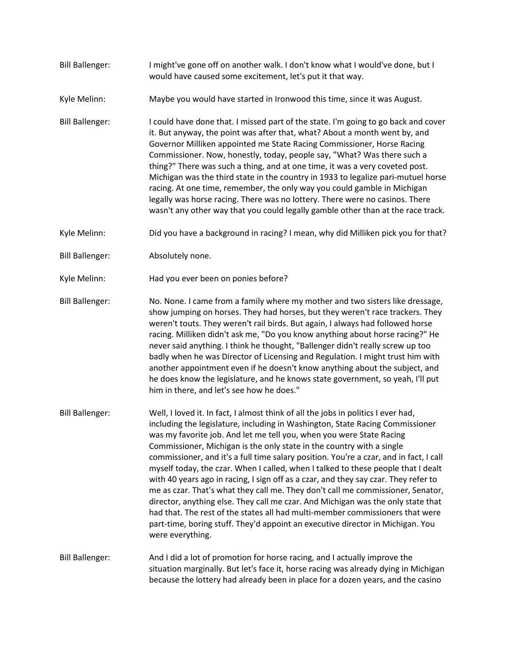- Bill Ballenger: I might've gone off on another walk. I don't know what I would've done, but I would have caused some excitement, let's put it that way.
- Kyle Melinn: Maybe you would have started in Ironwood this time, since it was August.
- Bill Ballenger: I could have done that. I missed part of the state. I'm going to go back and cover it. But anyway, the point was after that, what? About a month went by, and Governor Milliken appointed me State Racing Commissioner, Horse Racing Commissioner. Now, honestly, today, people say, "What? Was there such a thing?" There was such a thing, and at one time, it was a very coveted post. Michigan was the third state in the country in 1933 to legalize pari-mutuel horse racing. At one time, remember, the only way you could gamble in Michigan legally was horse racing. There was no lottery. There were no casinos. There wasn't any other way that you could legally gamble other than at the race track.
- Kyle Melinn: Did you have a background in racing? I mean, why did Milliken pick you for that?
- Bill Ballenger: Absolutely none.
- Kyle Melinn: Had you ever been on ponies before?
- Bill Ballenger: No. None. I came from a family where my mother and two sisters like dressage, show jumping on horses. They had horses, but they weren't race trackers. They weren't touts. They weren't rail birds. But again, I always had followed horse racing. Milliken didn't ask me, "Do you know anything about horse racing?" He never said anything. I think he thought, "Ballenger didn't really screw up too badly when he was Director of Licensing and Regulation. I might trust him with another appointment even if he doesn't know anything about the subject, and he does know the legislature, and he knows state government, so yeah, I'll put him in there, and let's see how he does."
- Bill Ballenger: Well, I loved it. In fact, I almost think of all the jobs in politics I ever had, including the legislature, including in Washington, State Racing Commissioner was my favorite job. And let me tell you, when you were State Racing Commissioner, Michigan is the only state in the country with a single commissioner, and it's a full time salary position. You're a czar, and in fact, I call myself today, the czar. When I called, when I talked to these people that I dealt with 40 years ago in racing, I sign off as a czar, and they say czar. They refer to me as czar. That's what they call me. They don't call me commissioner, Senator, director, anything else. They call me czar. And Michigan was the only state that had that. The rest of the states all had multi-member commissioners that were part-time, boring stuff. They'd appoint an executive director in Michigan. You were everything.
- Bill Ballenger: And I did a lot of promotion for horse racing, and I actually improve the situation marginally. But let's face it, horse racing was already dying in Michigan because the lottery had already been in place for a dozen years, and the casino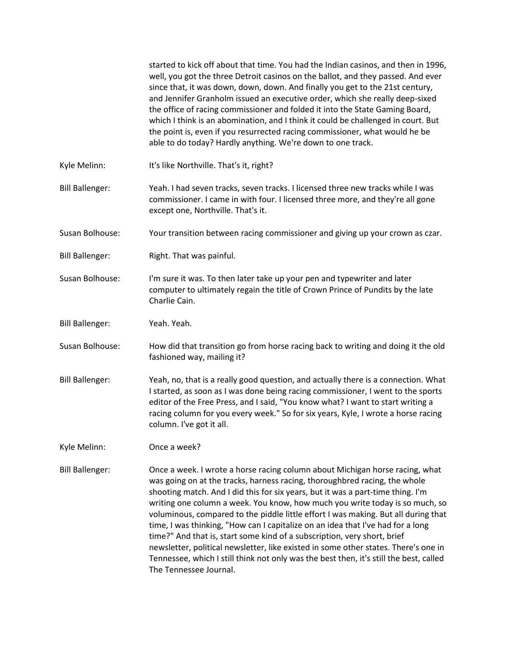|                        | started to kick off about that time. You had the Indian casinos, and then in 1996,<br>well, you got the three Detroit casinos on the ballot, and they passed. And ever<br>since that, it was down, down, down. And finally you get to the 21st century,<br>and Jennifer Granholm issued an executive order, which she really deep-sixed<br>the office of racing commissioner and folded it into the State Gaming Board,<br>which I think is an abomination, and I think it could be challenged in court. But<br>the point is, even if you resurrected racing commissioner, what would he be<br>able to do today? Hardly anything. We're down to one track.                                                                                                                                    |
|------------------------|-----------------------------------------------------------------------------------------------------------------------------------------------------------------------------------------------------------------------------------------------------------------------------------------------------------------------------------------------------------------------------------------------------------------------------------------------------------------------------------------------------------------------------------------------------------------------------------------------------------------------------------------------------------------------------------------------------------------------------------------------------------------------------------------------|
| Kyle Melinn:           | It's like Northville. That's it, right?                                                                                                                                                                                                                                                                                                                                                                                                                                                                                                                                                                                                                                                                                                                                                       |
| <b>Bill Ballenger:</b> | Yeah. I had seven tracks, seven tracks. I licensed three new tracks while I was<br>commissioner. I came in with four. I licensed three more, and they're all gone<br>except one, Northville. That's it.                                                                                                                                                                                                                                                                                                                                                                                                                                                                                                                                                                                       |
| Susan Bolhouse:        | Your transition between racing commissioner and giving up your crown as czar.                                                                                                                                                                                                                                                                                                                                                                                                                                                                                                                                                                                                                                                                                                                 |
| <b>Bill Ballenger:</b> | Right. That was painful.                                                                                                                                                                                                                                                                                                                                                                                                                                                                                                                                                                                                                                                                                                                                                                      |
| Susan Bolhouse:        | I'm sure it was. To then later take up your pen and typewriter and later<br>computer to ultimately regain the title of Crown Prince of Pundits by the late<br>Charlie Cain.                                                                                                                                                                                                                                                                                                                                                                                                                                                                                                                                                                                                                   |
| <b>Bill Ballenger:</b> | Yeah. Yeah.                                                                                                                                                                                                                                                                                                                                                                                                                                                                                                                                                                                                                                                                                                                                                                                   |
| Susan Bolhouse:        | How did that transition go from horse racing back to writing and doing it the old<br>fashioned way, mailing it?                                                                                                                                                                                                                                                                                                                                                                                                                                                                                                                                                                                                                                                                               |
| <b>Bill Ballenger:</b> | Yeah, no, that is a really good question, and actually there is a connection. What<br>I started, as soon as I was done being racing commissioner, I went to the sports<br>editor of the Free Press, and I said, "You know what? I want to start writing a<br>racing column for you every week." So for six years, Kyle, I wrote a horse racing<br>column. I've got it all.                                                                                                                                                                                                                                                                                                                                                                                                                    |
| Kyle Melinn:           | Once a week?                                                                                                                                                                                                                                                                                                                                                                                                                                                                                                                                                                                                                                                                                                                                                                                  |
| <b>Bill Ballenger:</b> | Once a week. I wrote a horse racing column about Michigan horse racing, what<br>was going on at the tracks, harness racing, thoroughbred racing, the whole<br>shooting match. And I did this for six years, but it was a part-time thing. I'm<br>writing one column a week. You know, how much you write today is so much, so<br>voluminous, compared to the piddle little effort I was making. But all during that<br>time, I was thinking, "How can I capitalize on an idea that I've had for a long<br>time?" And that is, start some kind of a subscription, very short, brief<br>newsletter, political newsletter, like existed in some other states. There's one in<br>Tennessee, which I still think not only was the best then, it's still the best, called<br>The Tennessee Journal. |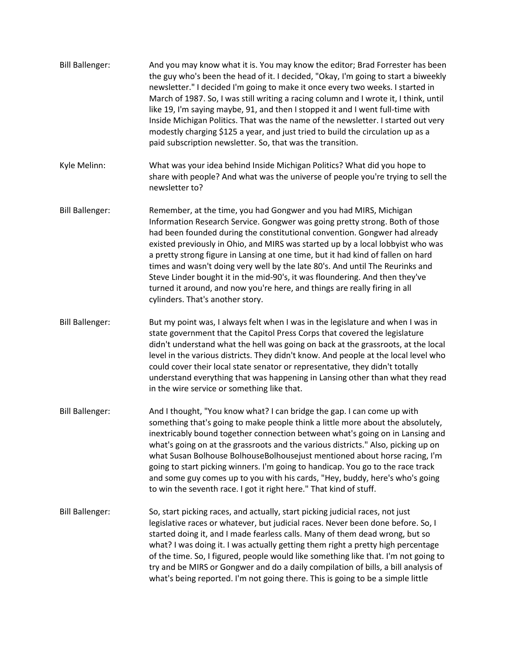- Bill Ballenger: And you may know what it is. You may know the editor; Brad Forrester has been the guy who's been the head of it. I decided, "Okay, I'm going to start a biweekly newsletter." I decided I'm going to make it once every two weeks. I started in March of 1987. So, I was still writing a racing column and I wrote it, I think, until like 19, I'm saying maybe, 91, and then I stopped it and I went full-time with Inside Michigan Politics. That was the name of the newsletter. I started out very modestly charging \$125 a year, and just tried to build the circulation up as a paid subscription newsletter. So, that was the transition. Kyle Melinn: What was your idea behind Inside Michigan Politics? What did you hope to share with people? And what was the universe of people you're trying to sell the newsletter to? Bill Ballenger: Remember, at the time, you had Gongwer and you had MIRS, Michigan Information Research Service. Gongwer was going pretty strong. Both of those had been founded during the constitutional convention. Gongwer had already existed previously in Ohio, and MIRS was started up by a local lobbyist who was a pretty strong figure in Lansing at one time, but it had kind of fallen on hard times and wasn't doing very well by the late 80's. And until The Reurinks and Steve Linder bought it in the mid-90's, it was floundering. And then they've turned it around, and now you're here, and things are really firing in all cylinders. That's another story. Bill Ballenger: But my point was, I always felt when I was in the legislature and when I was in state government that the Capitol Press Corps that covered the legislature didn't understand what the hell was going on back at the grassroots, at the local level in the various districts. They didn't know. And people at the local level who
	- could cover their local state senator or representative, they didn't totally understand everything that was happening in Lansing other than what they read in the wire service or something like that.
- Bill Ballenger: And I thought, "You know what? I can bridge the gap. I can come up with something that's going to make people think a little more about the absolutely, inextricably bound together connection between what's going on in Lansing and what's going on at the grassroots and the various districts." Also, picking up on what Susan Bolhouse BolhouseBolhousejust mentioned about horse racing, I'm going to start picking winners. I'm going to handicap. You go to the race track and some guy comes up to you with his cards, "Hey, buddy, here's who's going to win the seventh race. I got it right here." That kind of stuff.
- Bill Ballenger: So, start picking races, and actually, start picking judicial races, not just legislative races or whatever, but judicial races. Never been done before. So, I started doing it, and I made fearless calls. Many of them dead wrong, but so what? I was doing it. I was actually getting them right a pretty high percentage of the time. So, I figured, people would like something like that. I'm not going to try and be MIRS or Gongwer and do a daily compilation of bills, a bill analysis of what's being reported. I'm not going there. This is going to be a simple little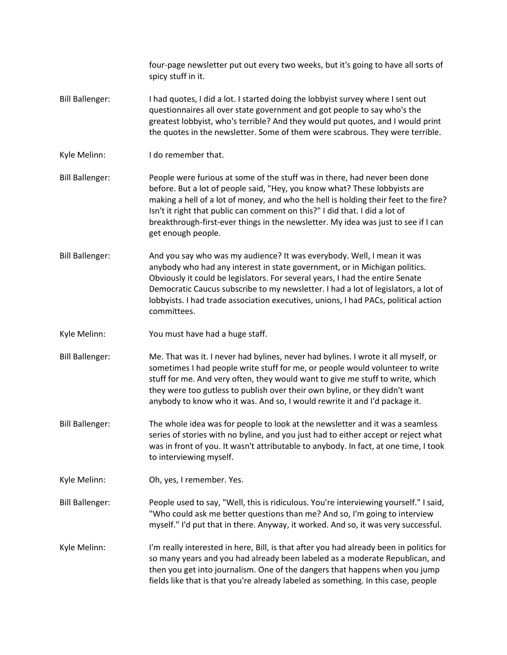|                        | four-page newsletter put out every two weeks, but it's going to have all sorts of<br>spicy stuff in it.                                                                                                                                                                                                                                                                                                                                     |
|------------------------|---------------------------------------------------------------------------------------------------------------------------------------------------------------------------------------------------------------------------------------------------------------------------------------------------------------------------------------------------------------------------------------------------------------------------------------------|
| <b>Bill Ballenger:</b> | I had quotes, I did a lot. I started doing the lobbyist survey where I sent out<br>questionnaires all over state government and got people to say who's the<br>greatest lobbyist, who's terrible? And they would put quotes, and I would print<br>the quotes in the newsletter. Some of them were scabrous. They were terrible.                                                                                                             |
| Kyle Melinn:           | I do remember that.                                                                                                                                                                                                                                                                                                                                                                                                                         |
| <b>Bill Ballenger:</b> | People were furious at some of the stuff was in there, had never been done<br>before. But a lot of people said, "Hey, you know what? These lobbyists are<br>making a hell of a lot of money, and who the hell is holding their feet to the fire?<br>Isn't it right that public can comment on this?" I did that. I did a lot of<br>breakthrough-first-ever things in the newsletter. My idea was just to see if I can<br>get enough people. |
| <b>Bill Ballenger:</b> | And you say who was my audience? It was everybody. Well, I mean it was<br>anybody who had any interest in state government, or in Michigan politics.<br>Obviously it could be legislators. For several years, I had the entire Senate<br>Democratic Caucus subscribe to my newsletter. I had a lot of legislators, a lot of<br>lobbyists. I had trade association executives, unions, I had PACs, political action<br>committees.           |
| Kyle Melinn:           | You must have had a huge staff.                                                                                                                                                                                                                                                                                                                                                                                                             |
| <b>Bill Ballenger:</b> | Me. That was it. I never had bylines, never had bylines. I wrote it all myself, or<br>sometimes I had people write stuff for me, or people would volunteer to write<br>stuff for me. And very often, they would want to give me stuff to write, which<br>they were too gutless to publish over their own byline, or they didn't want<br>anybody to know who it was. And so, I would rewrite it and I'd package it.                          |
| <b>Bill Ballenger:</b> | The whole idea was for people to look at the newsletter and it was a seamless<br>series of stories with no byline, and you just had to either accept or reject what<br>was in front of you. It wasn't attributable to anybody. In fact, at one time, I took<br>to interviewing myself.                                                                                                                                                      |
| Kyle Melinn:           | Oh, yes, I remember. Yes.                                                                                                                                                                                                                                                                                                                                                                                                                   |
| <b>Bill Ballenger:</b> | People used to say, "Well, this is ridiculous. You're interviewing yourself." I said,<br>"Who could ask me better questions than me? And so, I'm going to interview<br>myself." I'd put that in there. Anyway, it worked. And so, it was very successful.                                                                                                                                                                                   |
| Kyle Melinn:           | I'm really interested in here, Bill, is that after you had already been in politics for<br>so many years and you had already been labeled as a moderate Republican, and<br>then you get into journalism. One of the dangers that happens when you jump<br>fields like that is that you're already labeled as something. In this case, people                                                                                                |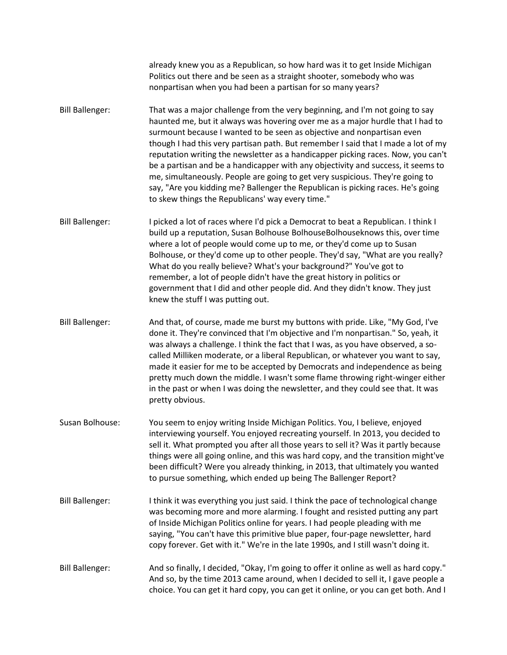already knew you as a Republican, so how hard was it to get Inside Michigan Politics out there and be seen as a straight shooter, somebody who was nonpartisan when you had been a partisan for so many years?

- Bill Ballenger: That was a major challenge from the very beginning, and I'm not going to say haunted me, but it always was hovering over me as a major hurdle that I had to surmount because I wanted to be seen as objective and nonpartisan even though I had this very partisan path. But remember I said that I made a lot of my reputation writing the newsletter as a handicapper picking races. Now, you can't be a partisan and be a handicapper with any objectivity and success, it seems to me, simultaneously. People are going to get very suspicious. They're going to say, "Are you kidding me? Ballenger the Republican is picking races. He's going to skew things the Republicans' way every time."
- Bill Ballenger: I picked a lot of races where I'd pick a Democrat to beat a Republican. I think I build up a reputation, Susan Bolhouse BolhouseBolhouseknows this, over time where a lot of people would come up to me, or they'd come up to Susan Bolhouse, or they'd come up to other people. They'd say, "What are you really? What do you really believe? What's your background?" You've got to remember, a lot of people didn't have the great history in politics or government that I did and other people did. And they didn't know. They just knew the stuff I was putting out.
- Bill Ballenger: And that, of course, made me burst my buttons with pride. Like, "My God, I've done it. They're convinced that I'm objective and I'm nonpartisan." So, yeah, it was always a challenge. I think the fact that I was, as you have observed, a socalled Milliken moderate, or a liberal Republican, or whatever you want to say, made it easier for me to be accepted by Democrats and independence as being pretty much down the middle. I wasn't some flame throwing right-winger either in the past or when I was doing the newsletter, and they could see that. It was pretty obvious.
- Susan Bolhouse: You seem to enjoy writing Inside Michigan Politics. You, I believe, enjoyed interviewing yourself. You enjoyed recreating yourself. In 2013, you decided to sell it. What prompted you after all those years to sell it? Was it partly because things were all going online, and this was hard copy, and the transition might've been difficult? Were you already thinking, in 2013, that ultimately you wanted to pursue something, which ended up being The Ballenger Report?
- Bill Ballenger: I think it was everything you just said. I think the pace of technological change was becoming more and more alarming. I fought and resisted putting any part of Inside Michigan Politics online for years. I had people pleading with me saying, "You can't have this primitive blue paper, four-page newsletter, hard copy forever. Get with it." We're in the late 1990s, and I still wasn't doing it.
- Bill Ballenger: And so finally, I decided, "Okay, I'm going to offer it online as well as hard copy." And so, by the time 2013 came around, when I decided to sell it, I gave people a choice. You can get it hard copy, you can get it online, or you can get both. And I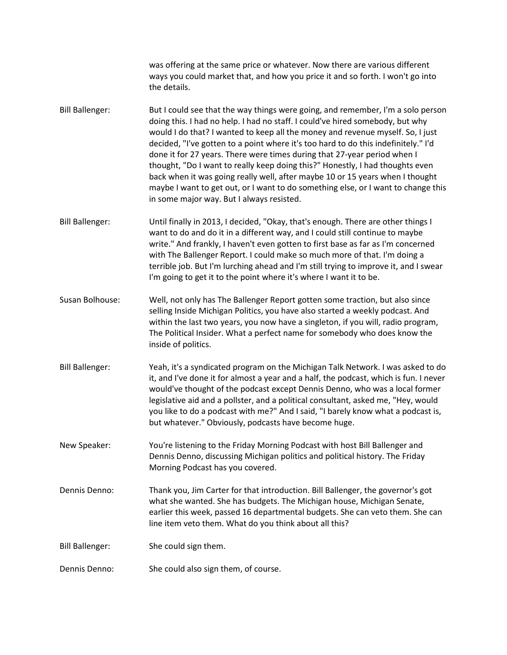was offering at the same price or whatever. Now there are various different ways you could market that, and how you price it and so forth. I won't go into the details.

Bill Ballenger: But I could see that the way things were going, and remember, I'm a solo person doing this. I had no help. I had no staff. I could've hired somebody, but why would I do that? I wanted to keep all the money and revenue myself. So, I just decided, "I've gotten to a point where it's too hard to do this indefinitely." I'd done it for 27 years. There were times during that 27-year period when I thought, "Do I want to really keep doing this?" Honestly, I had thoughts even back when it was going really well, after maybe 10 or 15 years when I thought maybe I want to get out, or I want to do something else, or I want to change this in some major way. But I always resisted.

Bill Ballenger: Until finally in 2013, I decided, "Okay, that's enough. There are other things I want to do and do it in a different way, and I could still continue to maybe write." And frankly, I haven't even gotten to first base as far as I'm concerned with The Ballenger Report. I could make so much more of that. I'm doing a terrible job. But I'm lurching ahead and I'm still trying to improve it, and I swear I'm going to get it to the point where it's where I want it to be.

- Susan Bolhouse: Well, not only has The Ballenger Report gotten some traction, but also since selling Inside Michigan Politics, you have also started a weekly podcast. And within the last two years, you now have a singleton, if you will, radio program, The Political Insider. What a perfect name for somebody who does know the inside of politics.
- Bill Ballenger: Yeah, it's a syndicated program on the Michigan Talk Network. I was asked to do it, and I've done it for almost a year and a half, the podcast, which is fun. I never would've thought of the podcast except Dennis Denno, who was a local former legislative aid and a pollster, and a political consultant, asked me, "Hey, would you like to do a podcast with me?" And I said, "I barely know what a podcast is, but whatever." Obviously, podcasts have become huge.

New Speaker: You're listening to the Friday Morning Podcast with host Bill Ballenger and Dennis Denno, discussing Michigan politics and political history. The Friday Morning Podcast has you covered.

- Dennis Denno: Thank you, Jim Carter for that introduction. Bill Ballenger, the governor's got what she wanted. She has budgets. The Michigan house, Michigan Senate, earlier this week, passed 16 departmental budgets. She can veto them. She can line item veto them. What do you think about all this?
- Bill Ballenger: She could sign them.
- Dennis Denno: She could also sign them, of course.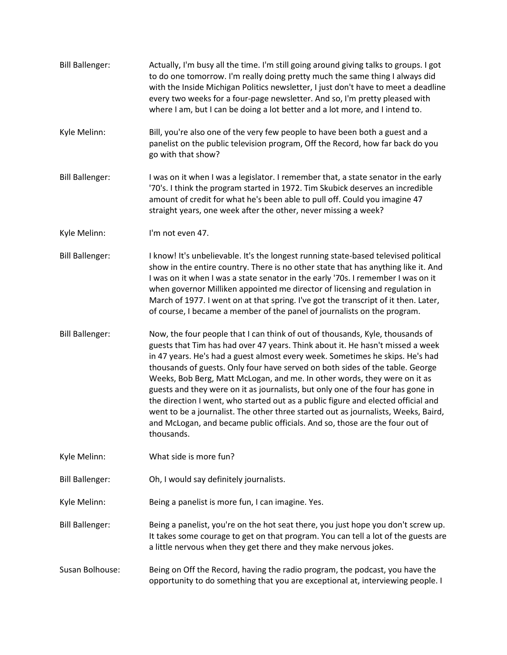Bill Ballenger: Actually, I'm busy all the time. I'm still going around giving talks to groups. I got to do one tomorrow. I'm really doing pretty much the same thing I always did with the Inside Michigan Politics newsletter, I just don't have to meet a deadline every two weeks for a four-page newsletter. And so, I'm pretty pleased with where I am, but I can be doing a lot better and a lot more, and I intend to. Kyle Melinn: Bill, you're also one of the very few people to have been both a guest and a panelist on the public television program, Off the Record, how far back do you go with that show? Bill Ballenger: I was on it when I was a legislator. I remember that, a state senator in the early '70's. I think the program started in 1972. Tim Skubick deserves an incredible amount of credit for what he's been able to pull off. Could you imagine 47 straight years, one week after the other, never missing a week? Kyle Melinn: I'm not even 47. Bill Ballenger: I know! It's unbelievable. It's the longest running state-based televised political show in the entire country. There is no other state that has anything like it. And I was on it when I was a state senator in the early '70s. I remember I was on it when governor Milliken appointed me director of licensing and regulation in March of 1977. I went on at that spring. I've got the transcript of it then. Later, of course, I became a member of the panel of journalists on the program. Bill Ballenger: Now, the four people that I can think of out of thousands, Kyle, thousands of guests that Tim has had over 47 years. Think about it. He hasn't missed a week in 47 years. He's had a guest almost every week. Sometimes he skips. He's had thousands of guests. Only four have served on both sides of the table. George Weeks, Bob Berg, Matt McLogan, and me. In other words, they were on it as guests and they were on it as journalists, but only one of the four has gone in the direction I went, who started out as a public figure and elected official and went to be a journalist. The other three started out as journalists, Weeks, Baird, and McLogan, and became public officials. And so, those are the four out of thousands. Kyle Melinn: What side is more fun? Bill Ballenger: Oh, I would say definitely journalists. Kyle Melinn: Being a panelist is more fun, I can imagine. Yes. Bill Ballenger: Being a panelist, you're on the hot seat there, you just hope you don't screw up. It takes some courage to get on that program. You can tell a lot of the guests are a little nervous when they get there and they make nervous jokes. Susan Bolhouse: Being on Off the Record, having the radio program, the podcast, you have the opportunity to do something that you are exceptional at, interviewing people. I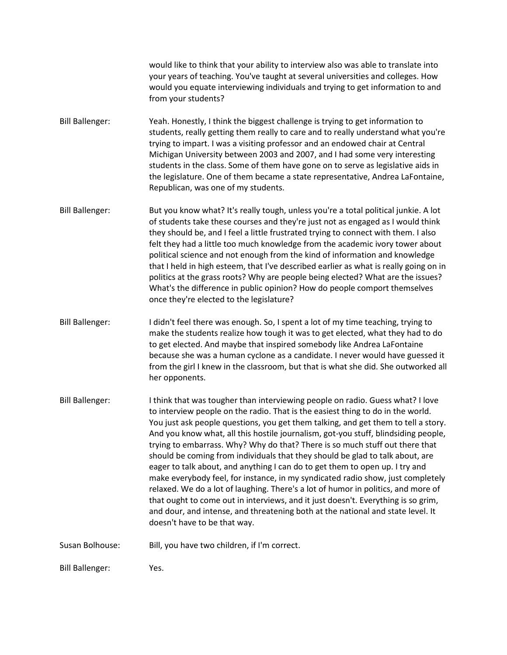would like to think that your ability to interview also was able to translate into your years of teaching. You've taught at several universities and colleges. How would you equate interviewing individuals and trying to get information to and from your students?

- Bill Ballenger: Yeah. Honestly, I think the biggest challenge is trying to get information to students, really getting them really to care and to really understand what you're trying to impart. I was a visiting professor and an endowed chair at Central Michigan University between 2003 and 2007, and I had some very interesting students in the class. Some of them have gone on to serve as legislative aids in the legislature. One of them became a state representative, Andrea LaFontaine, Republican, was one of my students.
- Bill Ballenger: But you know what? It's really tough, unless you're a total political junkie. A lot of students take these courses and they're just not as engaged as I would think they should be, and I feel a little frustrated trying to connect with them. I also felt they had a little too much knowledge from the academic ivory tower about political science and not enough from the kind of information and knowledge that I held in high esteem, that I've described earlier as what is really going on in politics at the grass roots? Why are people being elected? What are the issues? What's the difference in public opinion? How do people comport themselves once they're elected to the legislature?
- Bill Ballenger: I didn't feel there was enough. So, I spent a lot of my time teaching, trying to make the students realize how tough it was to get elected, what they had to do to get elected. And maybe that inspired somebody like Andrea LaFontaine because she was a human cyclone as a candidate. I never would have guessed it from the girl I knew in the classroom, but that is what she did. She outworked all her opponents.
- Bill Ballenger: I think that was tougher than interviewing people on radio. Guess what? I love to interview people on the radio. That is the easiest thing to do in the world. You just ask people questions, you get them talking, and get them to tell a story. And you know what, all this hostile journalism, got-you stuff, blindsiding people, trying to embarrass. Why? Why do that? There is so much stuff out there that should be coming from individuals that they should be glad to talk about, are eager to talk about, and anything I can do to get them to open up. I try and make everybody feel, for instance, in my syndicated radio show, just completely relaxed. We do a lot of laughing. There's a lot of humor in politics, and more of that ought to come out in interviews, and it just doesn't. Everything is so grim, and dour, and intense, and threatening both at the national and state level. It doesn't have to be that way.
- Susan Bolhouse: Bill, you have two children, if I'm correct.

Bill Ballenger: Yes.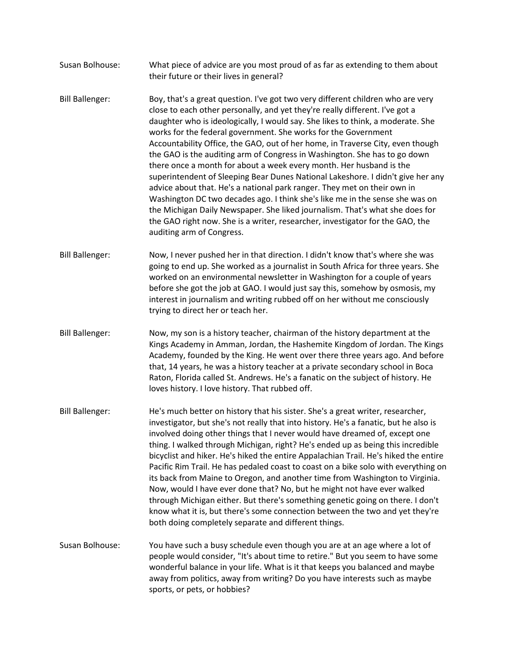- Susan Bolhouse: What piece of advice are you most proud of as far as extending to them about their future or their lives in general?
- Bill Ballenger: Boy, that's a great question. I've got two very different children who are very close to each other personally, and yet they're really different. I've got a daughter who is ideologically, I would say. She likes to think, a moderate. She works for the federal government. She works for the Government Accountability Office, the GAO, out of her home, in Traverse City, even though the GAO is the auditing arm of Congress in Washington. She has to go down there once a month for about a week every month. Her husband is the superintendent of Sleeping Bear Dunes National Lakeshore. I didn't give her any advice about that. He's a national park ranger. They met on their own in Washington DC two decades ago. I think she's like me in the sense she was on the Michigan Daily Newspaper. She liked journalism. That's what she does for the GAO right now. She is a writer, researcher, investigator for the GAO, the auditing arm of Congress.
- Bill Ballenger: Now, I never pushed her in that direction. I didn't know that's where she was going to end up. She worked as a journalist in South Africa for three years. She worked on an environmental newsletter in Washington for a couple of years before she got the job at GAO. I would just say this, somehow by osmosis, my interest in journalism and writing rubbed off on her without me consciously trying to direct her or teach her.
- Bill Ballenger: Now, my son is a history teacher, chairman of the history department at the Kings Academy in Amman, Jordan, the Hashemite Kingdom of Jordan. The Kings Academy, founded by the King. He went over there three years ago. And before that, 14 years, he was a history teacher at a private secondary school in Boca Raton, Florida called St. Andrews. He's a fanatic on the subject of history. He loves history. I love history. That rubbed off.
- Bill Ballenger: He's much better on history that his sister. She's a great writer, researcher, investigator, but she's not really that into history. He's a fanatic, but he also is involved doing other things that I never would have dreamed of, except one thing. I walked through Michigan, right? He's ended up as being this incredible bicyclist and hiker. He's hiked the entire Appalachian Trail. He's hiked the entire Pacific Rim Trail. He has pedaled coast to coast on a bike solo with everything on its back from Maine to Oregon, and another time from Washington to Virginia. Now, would I have ever done that? No, but he might not have ever walked through Michigan either. But there's something genetic going on there. I don't know what it is, but there's some connection between the two and yet they're both doing completely separate and different things.
- Susan Bolhouse: You have such a busy schedule even though you are at an age where a lot of people would consider, "It's about time to retire." But you seem to have some wonderful balance in your life. What is it that keeps you balanced and maybe away from politics, away from writing? Do you have interests such as maybe sports, or pets, or hobbies?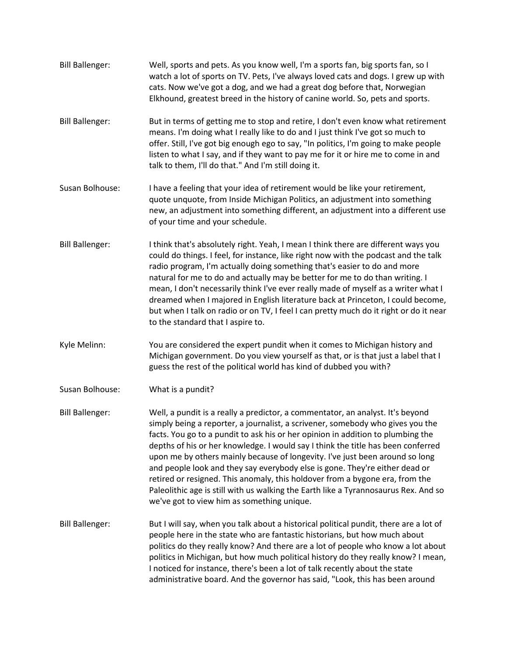Bill Ballenger: Well, sports and pets. As you know well, I'm a sports fan, big sports fan, so I watch a lot of sports on TV. Pets, I've always loved cats and dogs. I grew up with cats. Now we've got a dog, and we had a great dog before that, Norwegian Elkhound, greatest breed in the history of canine world. So, pets and sports. Bill Ballenger: But in terms of getting me to stop and retire, I don't even know what retirement means. I'm doing what I really like to do and I just think I've got so much to offer. Still, I've got big enough ego to say, "In politics, I'm going to make people listen to what I say, and if they want to pay me for it or hire me to come in and talk to them, I'll do that." And I'm still doing it. Susan Bolhouse: I have a feeling that your idea of retirement would be like your retirement, quote unquote, from Inside Michigan Politics, an adjustment into something new, an adjustment into something different, an adjustment into a different use of your time and your schedule. Bill Ballenger: I think that's absolutely right. Yeah, I mean I think there are different ways you could do things. I feel, for instance, like right now with the podcast and the talk radio program, I'm actually doing something that's easier to do and more natural for me to do and actually may be better for me to do than writing. I mean, I don't necessarily think I've ever really made of myself as a writer what I dreamed when I majored in English literature back at Princeton, I could become, but when I talk on radio or on TV, I feel I can pretty much do it right or do it near to the standard that I aspire to. Kyle Melinn: You are considered the expert pundit when it comes to Michigan history and Michigan government. Do you view yourself as that, or is that just a label that I guess the rest of the political world has kind of dubbed you with? Susan Bolhouse: What is a pundit? Bill Ballenger: Well, a pundit is a really a predictor, a commentator, an analyst. It's beyond simply being a reporter, a journalist, a scrivener, somebody who gives you the facts. You go to a pundit to ask his or her opinion in addition to plumbing the depths of his or her knowledge. I would say I think the title has been conferred upon me by others mainly because of longevity. I've just been around so long and people look and they say everybody else is gone. They're either dead or retired or resigned. This anomaly, this holdover from a bygone era, from the Paleolithic age is still with us walking the Earth like a Tyrannosaurus Rex. And so we've got to view him as something unique. Bill Ballenger: But I will say, when you talk about a historical political pundit, there are a lot of people here in the state who are fantastic historians, but how much about politics do they really know? And there are a lot of people who know a lot about politics in Michigan, but how much political history do they really know? I mean, I noticed for instance, there's been a lot of talk recently about the state administrative board. And the governor has said, "Look, this has been around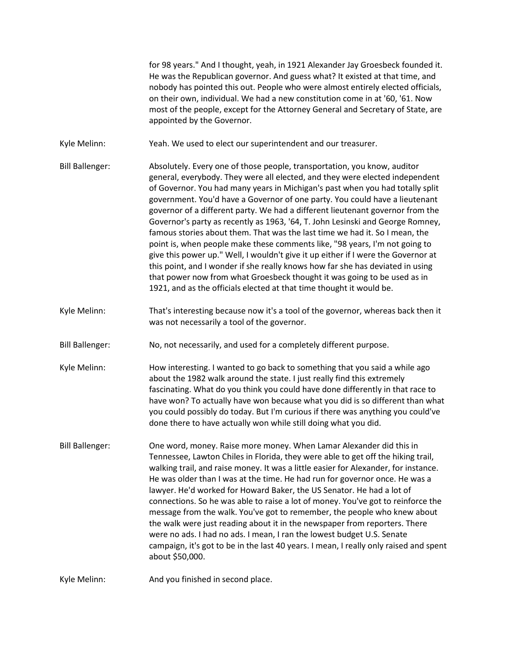for 98 years." And I thought, yeah, in 1921 Alexander Jay Groesbeck founded it. He was the Republican governor. And guess what? It existed at that time, and nobody has pointed this out. People who were almost entirely elected officials, on their own, individual. We had a new constitution come in at '60, '61. Now most of the people, except for the Attorney General and Secretary of State, are appointed by the Governor.

Kyle Melinn: Yeah. We used to elect our superintendent and our treasurer.

Bill Ballenger: Absolutely. Every one of those people, transportation, you know, auditor general, everybody. They were all elected, and they were elected independent of Governor. You had many years in Michigan's past when you had totally split government. You'd have a Governor of one party. You could have a lieutenant governor of a different party. We had a different lieutenant governor from the Governor's party as recently as 1963, '64, T. John Lesinski and George Romney, famous stories about them. That was the last time we had it. So I mean, the point is, when people make these comments like, "98 years, I'm not going to give this power up." Well, I wouldn't give it up either if I were the Governor at this point, and I wonder if she really knows how far she has deviated in using that power now from what Groesbeck thought it was going to be used as in 1921, and as the officials elected at that time thought it would be.

- Kyle Melinn: That's interesting because now it's a tool of the governor, whereas back then it was not necessarily a tool of the governor.
- Bill Ballenger: No, not necessarily, and used for a completely different purpose.
- Kyle Melinn: How interesting. I wanted to go back to something that you said a while ago about the 1982 walk around the state. I just really find this extremely fascinating. What do you think you could have done differently in that race to have won? To actually have won because what you did is so different than what you could possibly do today. But I'm curious if there was anything you could've done there to have actually won while still doing what you did.
- Bill Ballenger: One word, money. Raise more money. When Lamar Alexander did this in Tennessee, Lawton Chiles in Florida, they were able to get off the hiking trail, walking trail, and raise money. It was a little easier for Alexander, for instance. He was older than I was at the time. He had run for governor once. He was a lawyer. He'd worked for Howard Baker, the US Senator. He had a lot of connections. So he was able to raise a lot of money. You've got to reinforce the message from the walk. You've got to remember, the people who knew about the walk were just reading about it in the newspaper from reporters. There were no ads. I had no ads. I mean, I ran the lowest budget U.S. Senate campaign, it's got to be in the last 40 years. I mean, I really only raised and spent about \$50,000.

Kyle Melinn: And you finished in second place.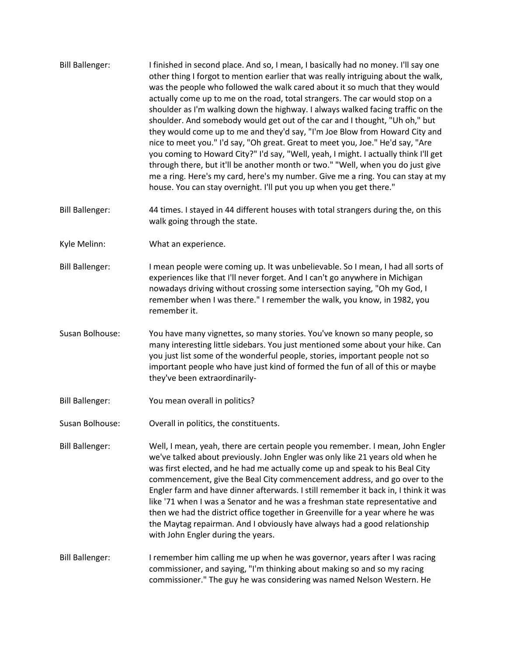- Bill Ballenger: I finished in second place. And so, I mean, I basically had no money. I'll say one other thing I forgot to mention earlier that was really intriguing about the walk, was the people who followed the walk cared about it so much that they would actually come up to me on the road, total strangers. The car would stop on a shoulder as I'm walking down the highway. I always walked facing traffic on the shoulder. And somebody would get out of the car and I thought, "Uh oh," but they would come up to me and they'd say, "I'm Joe Blow from Howard City and nice to meet you." I'd say, "Oh great. Great to meet you, Joe." He'd say, "Are you coming to Howard City?" I'd say, "Well, yeah, I might. I actually think I'll get through there, but it'll be another month or two." "Well, when you do just give me a ring. Here's my card, here's my number. Give me a ring. You can stay at my house. You can stay overnight. I'll put you up when you get there."
- Bill Ballenger: 44 times. I stayed in 44 different houses with total strangers during the, on this walk going through the state.
- Kyle Melinn: What an experience.
- Bill Ballenger: I mean people were coming up. It was unbelievable. So I mean, I had all sorts of experiences like that I'll never forget. And I can't go anywhere in Michigan nowadays driving without crossing some intersection saying, "Oh my God, I remember when I was there." I remember the walk, you know, in 1982, you remember it.
- Susan Bolhouse: You have many vignettes, so many stories. You've known so many people, so many interesting little sidebars. You just mentioned some about your hike. Can you just list some of the wonderful people, stories, important people not so important people who have just kind of formed the fun of all of this or maybe they've been extraordinarily-
- Bill Ballenger: You mean overall in politics?
- Susan Bolhouse: Overall in politics, the constituents.
- Bill Ballenger: Well, I mean, yeah, there are certain people you remember. I mean, John Engler we've talked about previously. John Engler was only like 21 years old when he was first elected, and he had me actually come up and speak to his Beal City commencement, give the Beal City commencement address, and go over to the Engler farm and have dinner afterwards. I still remember it back in, I think it was like '71 when I was a Senator and he was a freshman state representative and then we had the district office together in Greenville for a year where he was the Maytag repairman. And I obviously have always had a good relationship with John Engler during the years.
- Bill Ballenger: I remember him calling me up when he was governor, years after I was racing commissioner, and saying, "I'm thinking about making so and so my racing commissioner." The guy he was considering was named Nelson Western. He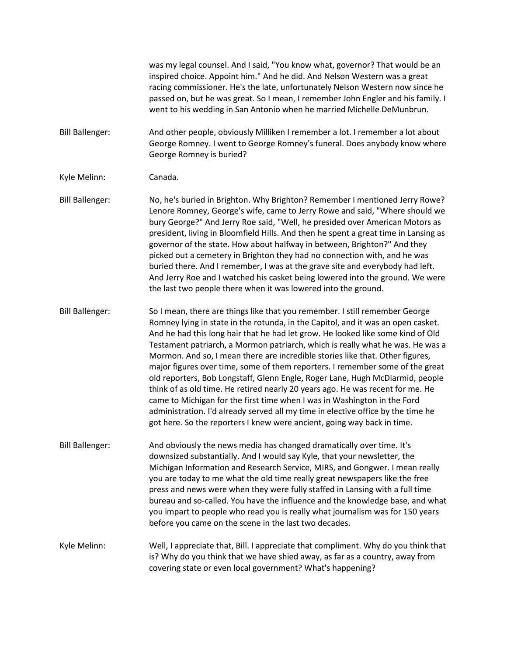was my legal counsel. And I said, "You know what, governor? That would be an inspired choice. Appoint him." And he did. And Nelson Western was a great racing commissioner. He's the late, unfortunately Nelson Western now since he passed on, but he was great. So I mean, I remember John Engler and his family. I went to his wedding in San Antonio when he married Michelle DeMunbrun.

Bill Ballenger: And other people, obviously Milliken I remember a lot. I remember a lot about George Romney. I went to George Romney's funeral. Does anybody know where George Romney is buried?

Kyle Melinn: Canada.

Bill Ballenger: No, he's buried in Brighton. Why Brighton? Remember I mentioned Jerry Rowe? Lenore Romney, George's wife, came to Jerry Rowe and said, "Where should we bury George?" And Jerry Roe said, "Well, he presided over American Motors as president, living in Bloomfield Hills. And then he spent a great time in Lansing as governor of the state. How about halfway in between, Brighton?" And they picked out a cemetery in Brighton they had no connection with, and he was buried there. And I remember, I was at the grave site and everybody had left. And Jerry Roe and I watched his casket being lowered into the ground. We were the last two people there when it was lowered into the ground.

Bill Ballenger: So I mean, there are things like that you remember. I still remember George Romney lying in state in the rotunda, in the Capitol, and it was an open casket. And he had this long hair that he had let grow. He looked like some kind of Old Testament patriarch, a Mormon patriarch, which is really what he was. He was a Mormon. And so, I mean there are incredible stories like that. Other figures, major figures over time, some of them reporters. I remember some of the great old reporters, Bob Longstaff, Glenn Engle, Roger Lane, Hugh McDiarmid, people think of as old time. He retired nearly 20 years ago. He was recent for me. He came to Michigan for the first time when I was in Washington in the Ford administration. I'd already served all my time in elective office by the time he got here. So the reporters I knew were ancient, going way back in time.

Bill Ballenger: And obviously the news media has changed dramatically over time. It's downsized substantially. And I would say Kyle, that your newsletter, the Michigan Information and Research Service, MIRS, and Gongwer. I mean really you are today to me what the old time really great newspapers like the free press and news were when they were fully staffed in Lansing with a full time bureau and so-called. You have the influence and the knowledge base, and what you impart to people who read you is really what journalism was for 150 years before you came on the scene in the last two decades.

Kyle Melinn: Well, I appreciate that, Bill. I appreciate that compliment. Why do you think that is? Why do you think that we have shied away, as far as a country, away from covering state or even local government? What's happening?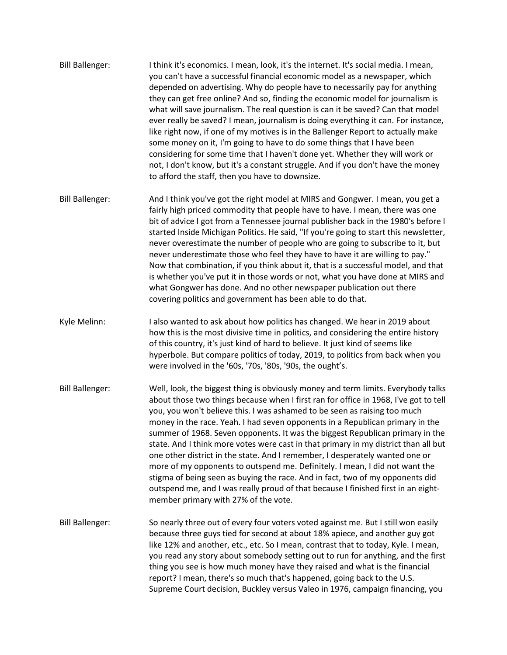- Bill Ballenger: I think it's economics. I mean, look, it's the internet. It's social media. I mean, you can't have a successful financial economic model as a newspaper, which depended on advertising. Why do people have to necessarily pay for anything they can get free online? And so, finding the economic model for journalism is what will save journalism. The real question is can it be saved? Can that model ever really be saved? I mean, journalism is doing everything it can. For instance, like right now, if one of my motives is in the Ballenger Report to actually make some money on it, I'm going to have to do some things that I have been considering for some time that I haven't done yet. Whether they will work or not, I don't know, but it's a constant struggle. And if you don't have the money to afford the staff, then you have to downsize.
- Bill Ballenger: And I think you've got the right model at MIRS and Gongwer. I mean, you get a fairly high priced commodity that people have to have. I mean, there was one bit of advice I got from a Tennessee journal publisher back in the 1980's before I started Inside Michigan Politics. He said, "If you're going to start this newsletter, never overestimate the number of people who are going to subscribe to it, but never underestimate those who feel they have to have it are willing to pay." Now that combination, if you think about it, that is a successful model, and that is whether you've put it in those words or not, what you have done at MIRS and what Gongwer has done. And no other newspaper publication out there covering politics and government has been able to do that.
- Kyle Melinn: I also wanted to ask about how politics has changed. We hear in 2019 about how this is the most divisive time in politics, and considering the entire history of this country, it's just kind of hard to believe. It just kind of seems like hyperbole. But compare politics of today, 2019, to politics from back when you were involved in the '60s, '70s, '80s, '90s, the ought's.
- Bill Ballenger: Well, look, the biggest thing is obviously money and term limits. Everybody talks about those two things because when I first ran for office in 1968, I've got to tell you, you won't believe this. I was ashamed to be seen as raising too much money in the race. Yeah. I had seven opponents in a Republican primary in the summer of 1968. Seven opponents. It was the biggest Republican primary in the state. And I think more votes were cast in that primary in my district than all but one other district in the state. And I remember, I desperately wanted one or more of my opponents to outspend me. Definitely. I mean, I did not want the stigma of being seen as buying the race. And in fact, two of my opponents did outspend me, and I was really proud of that because I finished first in an eightmember primary with 27% of the vote.
- Bill Ballenger: So nearly three out of every four voters voted against me. But I still won easily because three guys tied for second at about 18% apiece, and another guy got like 12% and another, etc., etc. So I mean, contrast that to today, Kyle. I mean, you read any story about somebody setting out to run for anything, and the first thing you see is how much money have they raised and what is the financial report? I mean, there's so much that's happened, going back to the U.S. Supreme Court decision, Buckley versus Valeo in 1976, campaign financing, you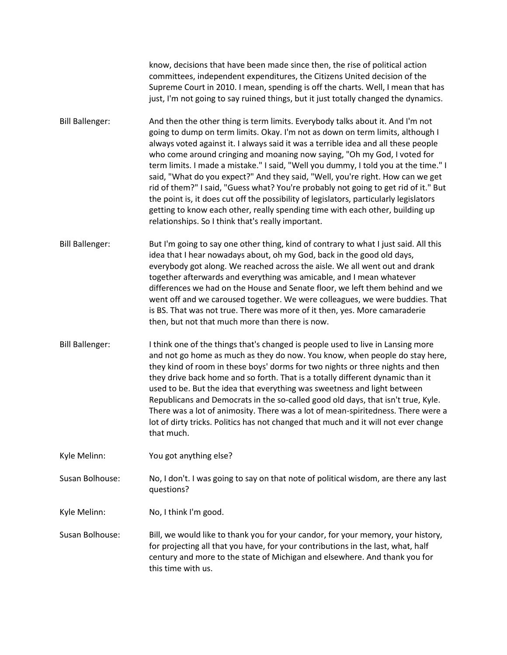know, decisions that have been made since then, the rise of political action committees, independent expenditures, the Citizens United decision of the Supreme Court in 2010. I mean, spending is off the charts. Well, I mean that has just, I'm not going to say ruined things, but it just totally changed the dynamics.

- Bill Ballenger: And then the other thing is term limits. Everybody talks about it. And I'm not going to dump on term limits. Okay. I'm not as down on term limits, although I always voted against it. I always said it was a terrible idea and all these people who come around cringing and moaning now saying, "Oh my God, I voted for term limits. I made a mistake." I said, "Well you dummy, I told you at the time." I said, "What do you expect?" And they said, "Well, you're right. How can we get rid of them?" I said, "Guess what? You're probably not going to get rid of it." But the point is, it does cut off the possibility of legislators, particularly legislators getting to know each other, really spending time with each other, building up relationships. So I think that's really important.
- Bill Ballenger: But I'm going to say one other thing, kind of contrary to what I just said. All this idea that I hear nowadays about, oh my God, back in the good old days, everybody got along. We reached across the aisle. We all went out and drank together afterwards and everything was amicable, and I mean whatever differences we had on the House and Senate floor, we left them behind and we went off and we caroused together. We were colleagues, we were buddies. That is BS. That was not true. There was more of it then, yes. More camaraderie then, but not that much more than there is now.
- Bill Ballenger: I think one of the things that's changed is people used to live in Lansing more and not go home as much as they do now. You know, when people do stay here, they kind of room in these boys' dorms for two nights or three nights and then they drive back home and so forth. That is a totally different dynamic than it used to be. But the idea that everything was sweetness and light between Republicans and Democrats in the so-called good old days, that isn't true, Kyle. There was a lot of animosity. There was a lot of mean-spiritedness. There were a lot of dirty tricks. Politics has not changed that much and it will not ever change that much.
- Kyle Melinn: You got anything else?

Susan Bolhouse: No, I don't. I was going to say on that note of political wisdom, are there any last questions?

Kyle Melinn: No, I think I'm good.

Susan Bolhouse: Bill, we would like to thank you for your candor, for your memory, your history, for projecting all that you have, for your contributions in the last, what, half century and more to the state of Michigan and elsewhere. And thank you for this time with us.